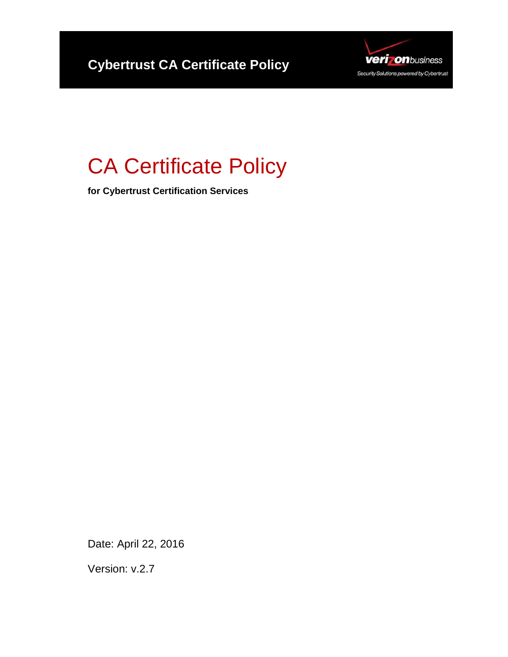

# CA Certificate Policy

**for Cybertrust Certification Services** 

Date: April 22, 2016

Version: v.2.7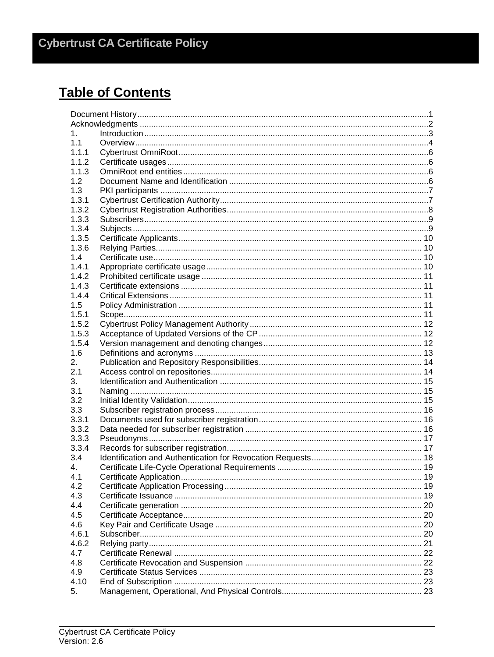## **Table of Contents**

| 1.    |  |  |
|-------|--|--|
| 1.1   |  |  |
| 1.1.1 |  |  |
| 1.1.2 |  |  |
| 1.1.3 |  |  |
| 1.2   |  |  |
| 1.3   |  |  |
| 1.3.1 |  |  |
| 1.3.2 |  |  |
| 1.3.3 |  |  |
| 1.3.4 |  |  |
| 1.3.5 |  |  |
| 1.3.6 |  |  |
| 1.4   |  |  |
| 1.4.1 |  |  |
| 1.4.2 |  |  |
| 1.4.3 |  |  |
| 1.4.4 |  |  |
| 1.5   |  |  |
| 1.5.1 |  |  |
| 1.5.2 |  |  |
| 1.5.3 |  |  |
| 1.5.4 |  |  |
| 1.6   |  |  |
| 2.    |  |  |
| 2.1   |  |  |
| 3.    |  |  |
|       |  |  |
| 3.1   |  |  |
| 3.2   |  |  |
| 3.3   |  |  |
| 3.3.1 |  |  |
| 3.3.2 |  |  |
| 3.3.3 |  |  |
| 3.3.4 |  |  |
| 3.4   |  |  |
| 4.    |  |  |
| 4.1   |  |  |
| 4.2   |  |  |
| 4.3   |  |  |
| 4.4   |  |  |
| 4.5   |  |  |
| 4.6   |  |  |
| 4.6.1 |  |  |
| 4.6.2 |  |  |
| 4.7   |  |  |
| 4.8   |  |  |
| 4.9   |  |  |
| 4.10  |  |  |
| 5.    |  |  |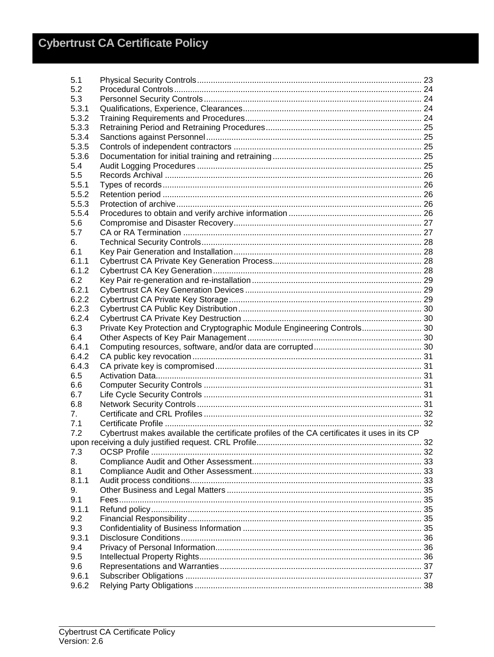| 5.1          |                                                                                              |  |  |
|--------------|----------------------------------------------------------------------------------------------|--|--|
| 5.2          |                                                                                              |  |  |
| 5.3          |                                                                                              |  |  |
| 5.3.1        |                                                                                              |  |  |
| 5.3.2        |                                                                                              |  |  |
| 5.3.3        |                                                                                              |  |  |
| 5.3.4        |                                                                                              |  |  |
| 5.3.5        |                                                                                              |  |  |
| 5.3.6        |                                                                                              |  |  |
| 5.4          |                                                                                              |  |  |
| 5.5          |                                                                                              |  |  |
| 5.5.1        |                                                                                              |  |  |
| 5.5.2        |                                                                                              |  |  |
| 5.5.3        |                                                                                              |  |  |
| 5.5.4        |                                                                                              |  |  |
| 5.6          |                                                                                              |  |  |
| 5.7          |                                                                                              |  |  |
| 6.           |                                                                                              |  |  |
| 6.1          |                                                                                              |  |  |
| 6.1.1        |                                                                                              |  |  |
| 6.1.2        |                                                                                              |  |  |
| 6.2          |                                                                                              |  |  |
| 6.2.1        |                                                                                              |  |  |
| 6.2.2        |                                                                                              |  |  |
| 6.2.3        |                                                                                              |  |  |
| 6.2.4        |                                                                                              |  |  |
| 6.3          | Private Key Protection and Cryptographic Module Engineering Controls 30                      |  |  |
| 6.4          |                                                                                              |  |  |
| 6.4.1        |                                                                                              |  |  |
| 6.4.2        |                                                                                              |  |  |
| 6.4.3        |                                                                                              |  |  |
| 6.5          |                                                                                              |  |  |
| 6.6          |                                                                                              |  |  |
| 6.7          |                                                                                              |  |  |
| 6.8          |                                                                                              |  |  |
| 7.           |                                                                                              |  |  |
| 7.1          |                                                                                              |  |  |
| 7.2          | Cybertrust makes available the certificate profiles of the CA certificates it uses in its CP |  |  |
|              |                                                                                              |  |  |
| 7.3          |                                                                                              |  |  |
| 8.           |                                                                                              |  |  |
| 8.1<br>8.1.1 |                                                                                              |  |  |
| 9.           |                                                                                              |  |  |
| 9.1          |                                                                                              |  |  |
| 9.1.1        |                                                                                              |  |  |
| 9.2          |                                                                                              |  |  |
| 9.3          |                                                                                              |  |  |
| 9.3.1        |                                                                                              |  |  |
| 9.4          |                                                                                              |  |  |
| 9.5          |                                                                                              |  |  |
| 9.6          |                                                                                              |  |  |
| 9.6.1        |                                                                                              |  |  |
| 9.6.2        |                                                                                              |  |  |
|              |                                                                                              |  |  |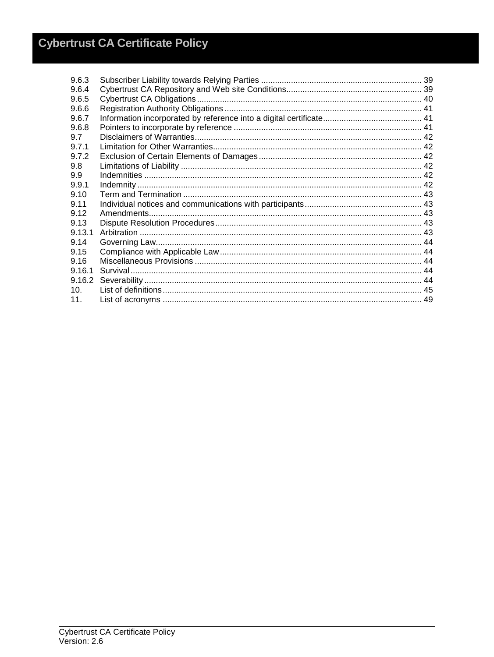| 9.6.3  |  |
|--------|--|
| 9.6.4  |  |
| 9.6.5  |  |
| 9.6.6  |  |
| 9.6.7  |  |
| 9.6.8  |  |
| 9.7    |  |
| 9.7.1  |  |
| 9.7.2  |  |
| 9.8    |  |
| 9.9    |  |
| 9.9.1  |  |
| 9.10   |  |
| 9.11   |  |
| 9.12   |  |
| 9.13   |  |
| 9.13.1 |  |
| 9.14   |  |
| 9.15   |  |
| 9.16   |  |
| 9.16.1 |  |
| 9.16.2 |  |
| 10.    |  |
| 11.    |  |
|        |  |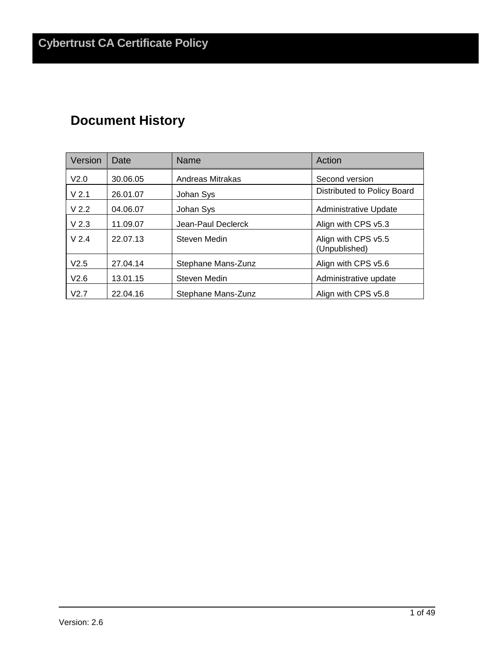## **Document History**

| Version          | Date     | Name               | Action                               |
|------------------|----------|--------------------|--------------------------------------|
| V <sub>2.0</sub> | 30.06.05 | Andreas Mitrakas   | Second version                       |
| V <sub>2.1</sub> | 26.01.07 | Johan Sys          | Distributed to Policy Board          |
| V <sub>2.2</sub> | 04.06.07 | Johan Sys          | Administrative Update                |
| V <sub>2.3</sub> | 11.09.07 | Jean-Paul Declerck | Align with CPS v5.3                  |
| V <sub>2.4</sub> | 22.07.13 | Steven Medin       | Align with CPS v5.5<br>(Unpublished) |
| V2.5             | 27.04.14 | Stephane Mans-Zunz | Align with CPS v5.6                  |
| V2.6             | 13.01.15 | Steven Medin       | Administrative update                |
| V2.7             | 22.04.16 | Stephane Mans-Zunz | Align with CPS v5.8                  |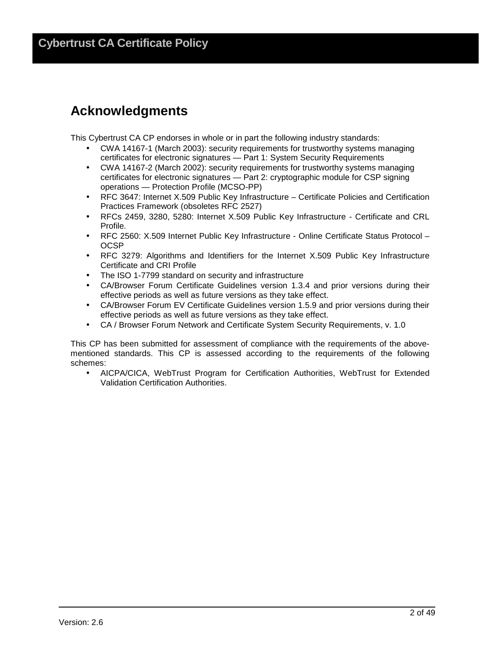## **Acknowledgments**

This Cybertrust CA CP endorses in whole or in part the following industry standards:

- CWA 14167-1 (March 2003): security requirements for trustworthy systems managing certificates for electronic signatures — Part 1: System Security Requirements
- CWA 14167-2 (March 2002): security requirements for trustworthy systems managing certificates for electronic signatures — Part 2: cryptographic module for CSP signing operations — Protection Profile (MCSO-PP)
- RFC 3647: Internet X.509 Public Key Infrastructure Certificate Policies and Certification Practices Framework (obsoletes RFC 2527)
- RFCs 2459, 3280, 5280: Internet X.509 Public Key Infrastructure Certificate and CRL Profile.
- RFC 2560: X.509 Internet Public Key Infrastructure Online Certificate Status Protocol **OCSP**
- RFC 3279: Algorithms and Identifiers for the Internet X.509 Public Key Infrastructure Certificate and CRI Profile
- The ISO 1-7799 standard on security and infrastructure
- CA/Browser Forum Certificate Guidelines version 1.3.4 and prior versions during their effective periods as well as future versions as they take effect.
- CA/Browser Forum EV Certificate Guidelines version 1.5.9 and prior versions during their effective periods as well as future versions as they take effect.
- CA / Browser Forum Network and Certificate System Security Requirements, v. 1.0

This CP has been submitted for assessment of compliance with the requirements of the abovementioned standards. This CP is assessed according to the requirements of the following schemes:

• AICPA/CICA, WebTrust Program for Certification Authorities, WebTrust for Extended Validation Certification Authorities.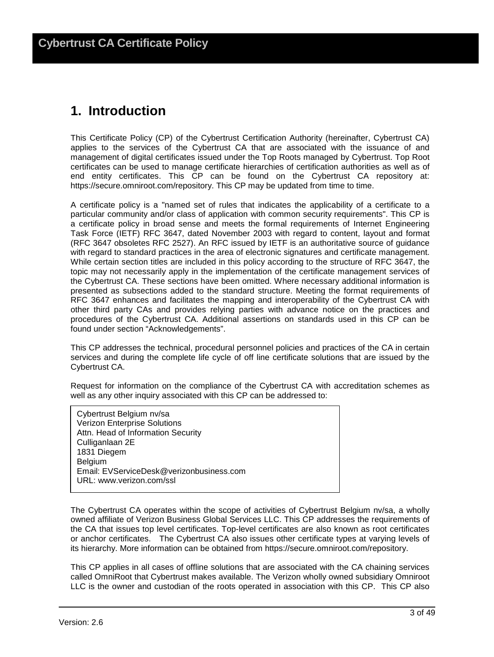## **1. Introduction**

This Certificate Policy (CP) of the Cybertrust Certification Authority (hereinafter, Cybertrust CA) applies to the services of the Cybertrust CA that are associated with the issuance of and management of digital certificates issued under the Top Roots managed by Cybertrust. Top Root certificates can be used to manage certificate hierarchies of certification authorities as well as of end entity certificates. This CP can be found on the Cybertrust CA repository at: https://secure.omniroot.com/repository. This CP may be updated from time to time.

A certificate policy is a "named set of rules that indicates the applicability of a certificate to a particular community and/or class of application with common security requirements". This CP is a certificate policy in broad sense and meets the formal requirements of Internet Engineering Task Force (IETF) RFC 3647, dated November 2003 with regard to content, layout and format (RFC 3647 obsoletes RFC 2527). An RFC issued by IETF is an authoritative source of guidance with regard to standard practices in the area of electronic signatures and certificate management. While certain section titles are included in this policy according to the structure of RFC 3647, the topic may not necessarily apply in the implementation of the certificate management services of the Cybertrust CA. These sections have been omitted. Where necessary additional information is presented as subsections added to the standard structure. Meeting the format requirements of RFC 3647 enhances and facilitates the mapping and interoperability of the Cybertrust CA with other third party CAs and provides relying parties with advance notice on the practices and procedures of the Cybertrust CA. Additional assertions on standards used in this CP can be found under section "Acknowledgements".

This CP addresses the technical, procedural personnel policies and practices of the CA in certain services and during the complete life cycle of off line certificate solutions that are issued by the Cybertrust CA.

Request for information on the compliance of the Cybertrust CA with accreditation schemes as well as any other inquiry associated with this CP can be addressed to:

Cybertrust Belgium nv/sa Verizon Enterprise Solutions Attn. Head of Information Security Culliganlaan 2E 1831 Diegem Belgium Email: EVServiceDesk@verizonbusiness.com URL: www.verizon.com/ssl

The Cybertrust CA operates within the scope of activities of Cybertrust Belgium nv/sa, a wholly owned affiliate of Verizon Business Global Services LLC. This CP addresses the requirements of the CA that issues top level certificates. Top-level certificates are also known as root certificates or anchor certificates. The Cybertrust CA also issues other certificate types at varying levels of its hierarchy. More information can be obtained from https://secure.omniroot.com/repository.

This CP applies in all cases of offline solutions that are associated with the CA chaining services called OmniRoot that Cybertrust makes available. The Verizon wholly owned subsidiary Omniroot LLC is the owner and custodian of the roots operated in association with this CP. This CP also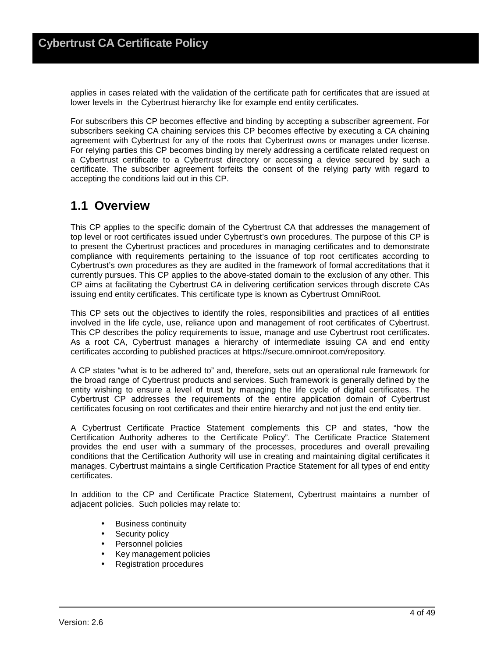applies in cases related with the validation of the certificate path for certificates that are issued at lower levels in the Cybertrust hierarchy like for example end entity certificates.

For subscribers this CP becomes effective and binding by accepting a subscriber agreement. For subscribers seeking CA chaining services this CP becomes effective by executing a CA chaining agreement with Cybertrust for any of the roots that Cybertrust owns or manages under license. For relying parties this CP becomes binding by merely addressing a certificate related request on a Cybertrust certificate to a Cybertrust directory or accessing a device secured by such a certificate. The subscriber agreement forfeits the consent of the relying party with regard to accepting the conditions laid out in this CP.

## **1.1 Overview**

This CP applies to the specific domain of the Cybertrust CA that addresses the management of top level or root certificates issued under Cybertrust's own procedures. The purpose of this CP is to present the Cybertrust practices and procedures in managing certificates and to demonstrate compliance with requirements pertaining to the issuance of top root certificates according to Cybertrust's own procedures as they are audited in the framework of formal accreditations that it currently pursues. This CP applies to the above-stated domain to the exclusion of any other. This CP aims at facilitating the Cybertrust CA in delivering certification services through discrete CAs issuing end entity certificates. This certificate type is known as Cybertrust OmniRoot.

This CP sets out the objectives to identify the roles, responsibilities and practices of all entities involved in the life cycle, use, reliance upon and management of root certificates of Cybertrust. This CP describes the policy requirements to issue, manage and use Cybertrust root certificates. As a root CA, Cybertrust manages a hierarchy of intermediate issuing CA and end entity certificates according to published practices at https://secure.omniroot.com/repository.

A CP states "what is to be adhered to" and, therefore, sets out an operational rule framework for the broad range of Cybertrust products and services. Such framework is generally defined by the entity wishing to ensure a level of trust by managing the life cycle of digital certificates. The Cybertrust CP addresses the requirements of the entire application domain of Cybertrust certificates focusing on root certificates and their entire hierarchy and not just the end entity tier.

A Cybertrust Certificate Practice Statement complements this CP and states, "how the Certification Authority adheres to the Certificate Policy". The Certificate Practice Statement provides the end user with a summary of the processes, procedures and overall prevailing conditions that the Certification Authority will use in creating and maintaining digital certificates it manages. Cybertrust maintains a single Certification Practice Statement for all types of end entity certificates.

In addition to the CP and Certificate Practice Statement, Cybertrust maintains a number of adjacent policies. Such policies may relate to:

- Business continuity
- Security policy
- Personnel policies
- Key management policies
- Registration procedures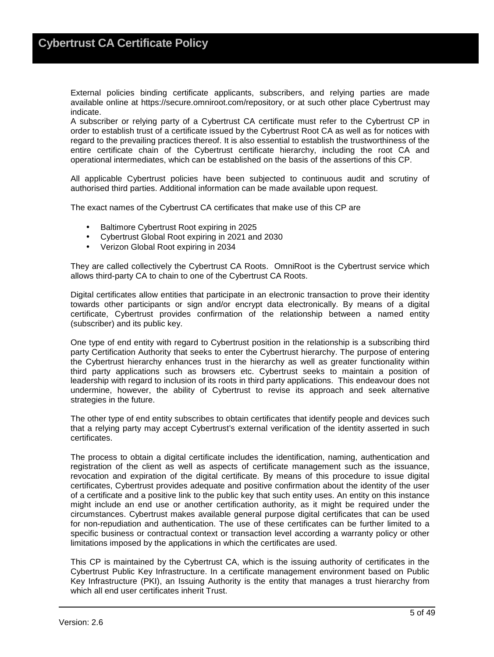External policies binding certificate applicants, subscribers, and relying parties are made available online at https://secure.omniroot.com/repository, or at such other place Cybertrust may indicate.

A subscriber or relying party of a Cybertrust CA certificate must refer to the Cybertrust CP in order to establish trust of a certificate issued by the Cybertrust Root CA as well as for notices with regard to the prevailing practices thereof. It is also essential to establish the trustworthiness of the entire certificate chain of the Cybertrust certificate hierarchy, including the root CA and operational intermediates, which can be established on the basis of the assertions of this CP.

All applicable Cybertrust policies have been subjected to continuous audit and scrutiny of authorised third parties. Additional information can be made available upon request.

The exact names of the Cybertrust CA certificates that make use of this CP are

- Baltimore Cybertrust Root expiring in 2025
- Cybertrust Global Root expiring in 2021 and 2030
- Verizon Global Root expiring in 2034

They are called collectively the Cybertrust CA Roots. OmniRoot is the Cybertrust service which allows third-party CA to chain to one of the Cybertrust CA Roots.

Digital certificates allow entities that participate in an electronic transaction to prove their identity towards other participants or sign and/or encrypt data electronically. By means of a digital certificate, Cybertrust provides confirmation of the relationship between a named entity (subscriber) and its public key.

One type of end entity with regard to Cybertrust position in the relationship is a subscribing third party Certification Authority that seeks to enter the Cybertrust hierarchy. The purpose of entering the Cybertrust hierarchy enhances trust in the hierarchy as well as greater functionality within third party applications such as browsers etc. Cybertrust seeks to maintain a position of leadership with regard to inclusion of its roots in third party applications. This endeavour does not undermine, however, the ability of Cybertrust to revise its approach and seek alternative strategies in the future.

The other type of end entity subscribes to obtain certificates that identify people and devices such that a relying party may accept Cybertrust's external verification of the identity asserted in such certificates.

The process to obtain a digital certificate includes the identification, naming, authentication and registration of the client as well as aspects of certificate management such as the issuance, revocation and expiration of the digital certificate. By means of this procedure to issue digital certificates, Cybertrust provides adequate and positive confirmation about the identity of the user of a certificate and a positive link to the public key that such entity uses. An entity on this instance might include an end use or another certification authority, as it might be required under the circumstances. Cybertrust makes available general purpose digital certificates that can be used for non-repudiation and authentication. The use of these certificates can be further limited to a specific business or contractual context or transaction level according a warranty policy or other limitations imposed by the applications in which the certificates are used.

This CP is maintained by the Cybertrust CA, which is the issuing authority of certificates in the Cybertrust Public Key Infrastructure. In a certificate management environment based on Public Key Infrastructure (PKI), an Issuing Authority is the entity that manages a trust hierarchy from which all end user certificates inherit Trust.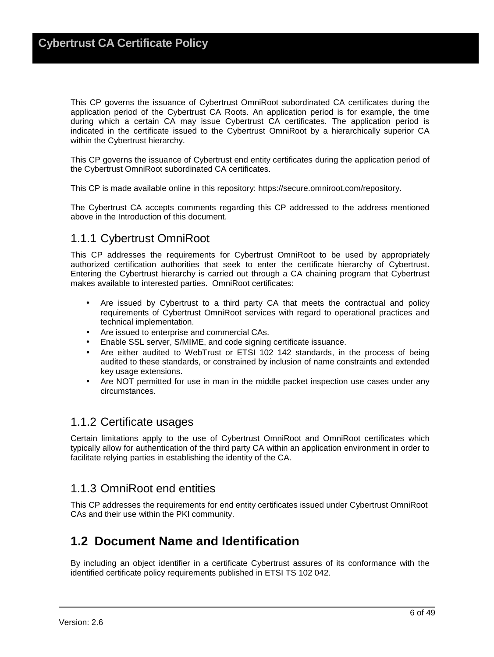This CP governs the issuance of Cybertrust OmniRoot subordinated CA certificates during the application period of the Cybertrust CA Roots. An application period is for example, the time during which a certain CA may issue Cybertrust CA certificates. The application period is indicated in the certificate issued to the Cybertrust OmniRoot by a hierarchically superior CA within the Cybertrust hierarchy.

This CP governs the issuance of Cybertrust end entity certificates during the application period of the Cybertrust OmniRoot subordinated CA certificates.

This CP is made available online in this repository: https://secure.omniroot.com/repository.

The Cybertrust CA accepts comments regarding this CP addressed to the address mentioned above in the Introduction of this document.

### 1.1.1 Cybertrust OmniRoot

This CP addresses the requirements for Cybertrust OmniRoot to be used by appropriately authorized certification authorities that seek to enter the certificate hierarchy of Cybertrust. Entering the Cybertrust hierarchy is carried out through a CA chaining program that Cybertrust makes available to interested parties. OmniRoot certificates:

- Are issued by Cybertrust to a third party CA that meets the contractual and policy requirements of Cybertrust OmniRoot services with regard to operational practices and technical implementation.
- Are issued to enterprise and commercial CAs.
- Enable SSL server, S/MIME, and code signing certificate issuance.
- Are either audited to WebTrust or ETSI 102 142 standards, in the process of being audited to these standards, or constrained by inclusion of name constraints and extended key usage extensions.
- Are NOT permitted for use in man in the middle packet inspection use cases under any circumstances.

#### 1.1.2 Certificate usages

Certain limitations apply to the use of Cybertrust OmniRoot and OmniRoot certificates which typically allow for authentication of the third party CA within an application environment in order to facilitate relying parties in establishing the identity of the CA.

### 1.1.3 OmniRoot end entities

This CP addresses the requirements for end entity certificates issued under Cybertrust OmniRoot CAs and their use within the PKI community.

## **1.2 Document Name and Identification**

By including an object identifier in a certificate Cybertrust assures of its conformance with the identified certificate policy requirements published in ETSI TS 102 042.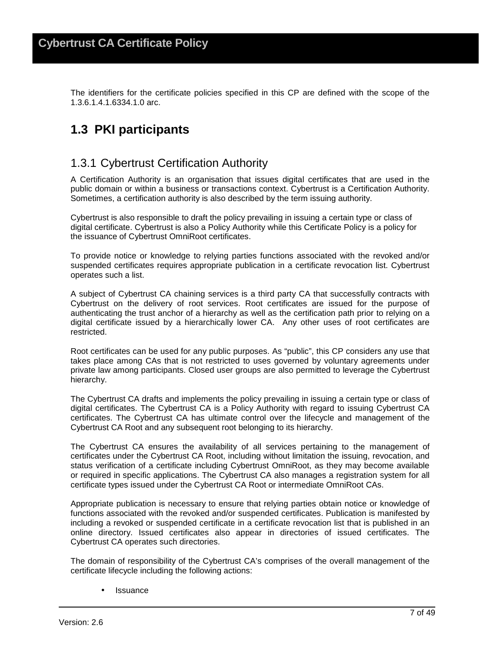The identifiers for the certificate policies specified in this CP are defined with the scope of the 1.3.6.1.4.1.6334.1.0 arc.

## **1.3 PKI participants**

### 1.3.1 Cybertrust Certification Authority

A Certification Authority is an organisation that issues digital certificates that are used in the public domain or within a business or transactions context. Cybertrust is a Certification Authority. Sometimes, a certification authority is also described by the term issuing authority.

Cybertrust is also responsible to draft the policy prevailing in issuing a certain type or class of digital certificate. Cybertrust is also a Policy Authority while this Certificate Policy is a policy for the issuance of Cybertrust OmniRoot certificates.

To provide notice or knowledge to relying parties functions associated with the revoked and/or suspended certificates requires appropriate publication in a certificate revocation list. Cybertrust operates such a list.

A subject of Cybertrust CA chaining services is a third party CA that successfully contracts with Cybertrust on the delivery of root services. Root certificates are issued for the purpose of authenticating the trust anchor of a hierarchy as well as the certification path prior to relying on a digital certificate issued by a hierarchically lower CA. Any other uses of root certificates are restricted.

Root certificates can be used for any public purposes. As "public", this CP considers any use that takes place among CAs that is not restricted to uses governed by voluntary agreements under private law among participants. Closed user groups are also permitted to leverage the Cybertrust hierarchy.

The Cybertrust CA drafts and implements the policy prevailing in issuing a certain type or class of digital certificates. The Cybertrust CA is a Policy Authority with regard to issuing Cybertrust CA certificates. The Cybertrust CA has ultimate control over the lifecycle and management of the Cybertrust CA Root and any subsequent root belonging to its hierarchy.

The Cybertrust CA ensures the availability of all services pertaining to the management of certificates under the Cybertrust CA Root, including without limitation the issuing, revocation, and status verification of a certificate including Cybertrust OmniRoot, as they may become available or required in specific applications. The Cybertrust CA also manages a registration system for all certificate types issued under the Cybertrust CA Root or intermediate OmniRoot CAs.

Appropriate publication is necessary to ensure that relying parties obtain notice or knowledge of functions associated with the revoked and/or suspended certificates. Publication is manifested by including a revoked or suspended certificate in a certificate revocation list that is published in an online directory. Issued certificates also appear in directories of issued certificates. The Cybertrust CA operates such directories.

The domain of responsibility of the Cybertrust CA's comprises of the overall management of the certificate lifecycle including the following actions:

**Issuance**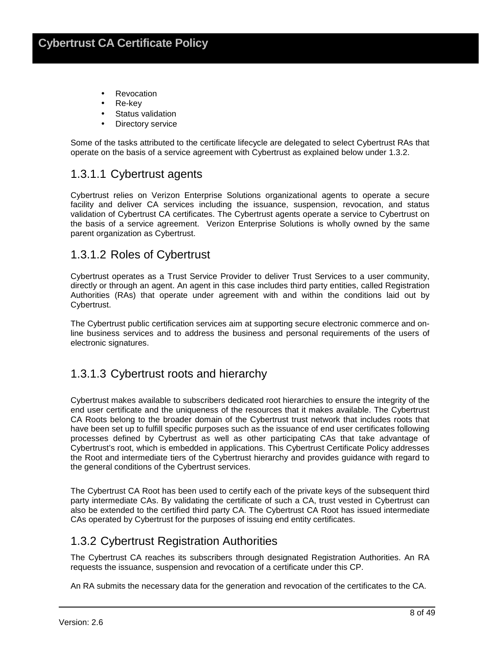- Revocation
- Re-key
- **Status validation**
- Directory service

Some of the tasks attributed to the certificate lifecycle are delegated to select Cybertrust RAs that operate on the basis of a service agreement with Cybertrust as explained below under 1.3.2.

### 1.3.1.1 Cybertrust agents

Cybertrust relies on Verizon Enterprise Solutions organizational agents to operate a secure facility and deliver CA services including the issuance, suspension, revocation, and status validation of Cybertrust CA certificates. The Cybertrust agents operate a service to Cybertrust on the basis of a service agreement. Verizon Enterprise Solutions is wholly owned by the same parent organization as Cybertrust.

#### 1.3.1.2 Roles of Cybertrust

Cybertrust operates as a Trust Service Provider to deliver Trust Services to a user community, directly or through an agent. An agent in this case includes third party entities, called Registration Authorities (RAs) that operate under agreement with and within the conditions laid out by Cybertrust.

The Cybertrust public certification services aim at supporting secure electronic commerce and online business services and to address the business and personal requirements of the users of electronic signatures.

#### 1.3.1.3 Cybertrust roots and hierarchy

Cybertrust makes available to subscribers dedicated root hierarchies to ensure the integrity of the end user certificate and the uniqueness of the resources that it makes available. The Cybertrust CA Roots belong to the broader domain of the Cybertrust trust network that includes roots that have been set up to fulfill specific purposes such as the issuance of end user certificates following processes defined by Cybertrust as well as other participating CAs that take advantage of Cybertrust's root, which is embedded in applications. This Cybertrust Certificate Policy addresses the Root and intermediate tiers of the Cybertrust hierarchy and provides guidance with regard to the general conditions of the Cybertrust services.

The Cybertrust CA Root has been used to certify each of the private keys of the subsequent third party intermediate CAs. By validating the certificate of such a CA, trust vested in Cybertrust can also be extended to the certified third party CA. The Cybertrust CA Root has issued intermediate CAs operated by Cybertrust for the purposes of issuing end entity certificates.

### 1.3.2 Cybertrust Registration Authorities

The Cybertrust CA reaches its subscribers through designated Registration Authorities. An RA requests the issuance, suspension and revocation of a certificate under this CP.

An RA submits the necessary data for the generation and revocation of the certificates to the CA.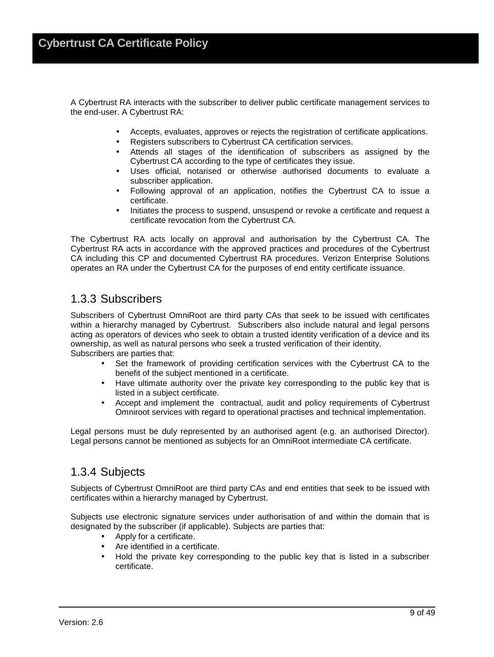A Cybertrust RA interacts with the subscriber to deliver public certificate management services to the end-user. A Cybertrust RA:

- Accepts, evaluates, approves or rejects the registration of certificate applications.
- Registers subscribers to Cybertrust CA certification services.
- Attends all stages of the identification of subscribers as assigned by the Cybertrust CA according to the type of certificates they issue.
- Uses official, notarised or otherwise authorised documents to evaluate a subscriber application.
- Following approval of an application, notifies the Cybertrust CA to issue a certificate.
- Initiates the process to suspend, unsuspend or revoke a certificate and request a certificate revocation from the Cybertrust CA.

The Cybertrust RA acts locally on approval and authorisation by the Cybertrust CA. The Cybertrust RA acts in accordance with the approved practices and procedures of the Cybertrust CA including this CP and documented Cybertrust RA procedures. Verizon Enterprise Solutions operates an RA under the Cybertrust CA for the purposes of end entity certificate issuance.

#### 1.3.3 Subscribers

Subscribers of Cybertrust OmniRoot are third party CAs that seek to be issued with certificates within a hierarchy managed by Cybertrust. Subscribers also include natural and legal persons acting as operators of devices who seek to obtain a trusted identity verification of a device and its ownership, as well as natural persons who seek a trusted verification of their identity. Subscribers are parties that:

- Set the framework of providing certification services with the Cybertrust CA to the benefit of the subject mentioned in a certificate.
- Have ultimate authority over the private key corresponding to the public key that is listed in a subject certificate.
- Accept and implement the contractual, audit and policy requirements of Cybertrust Omniroot services with regard to operational practises and technical implementation.

Legal persons must be duly represented by an authorised agent (e.g. an authorised Director). Legal persons cannot be mentioned as subjects for an OmniRoot intermediate CA certificate.

#### 1.3.4 Subjects

Subjects of Cybertrust OmniRoot are third party CAs and end entities that seek to be issued with certificates within a hierarchy managed by Cybertrust.

Subjects use electronic signature services under authorisation of and within the domain that is designated by the subscriber (if applicable). Subjects are parties that:

- Apply for a certificate.
- Are identified in a certificate.
- Hold the private key corresponding to the public key that is listed in a subscriber certificate.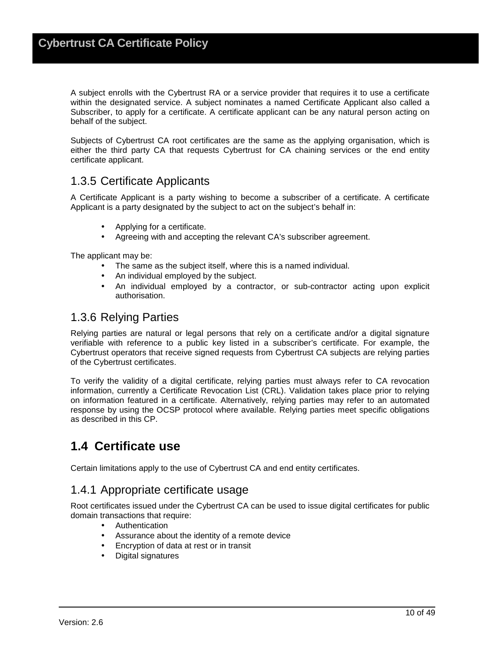A subject enrolls with the Cybertrust RA or a service provider that requires it to use a certificate within the designated service. A subject nominates a named Certificate Applicant also called a Subscriber, to apply for a certificate. A certificate applicant can be any natural person acting on behalf of the subject.

Subjects of Cybertrust CA root certificates are the same as the applying organisation, which is either the third party CA that requests Cybertrust for CA chaining services or the end entity certificate applicant.

### 1.3.5 Certificate Applicants

A Certificate Applicant is a party wishing to become a subscriber of a certificate. A certificate Applicant is a party designated by the subject to act on the subject's behalf in:

- Applying for a certificate.
- Agreeing with and accepting the relevant CA's subscriber agreement.

The applicant may be:

- The same as the subject itself, where this is a named individual.
- An individual employed by the subject.
- An individual employed by a contractor, or sub-contractor acting upon explicit authorisation.

### 1.3.6 Relying Parties

Relying parties are natural or legal persons that rely on a certificate and/or a digital signature verifiable with reference to a public key listed in a subscriber's certificate. For example, the Cybertrust operators that receive signed requests from Cybertrust CA subjects are relying parties of the Cybertrust certificates.

To verify the validity of a digital certificate, relying parties must always refer to CA revocation information, currently a Certificate Revocation List (CRL). Validation takes place prior to relying on information featured in a certificate. Alternatively, relying parties may refer to an automated response by using the OCSP protocol where available. Relying parties meet specific obligations as described in this CP.

## **1.4 Certificate use**

Certain limitations apply to the use of Cybertrust CA and end entity certificates.

#### 1.4.1 Appropriate certificate usage

Root certificates issued under the Cybertrust CA can be used to issue digital certificates for public domain transactions that require:

- Authentication
- Assurance about the identity of a remote device
- Encryption of data at rest or in transit
- Digital signatures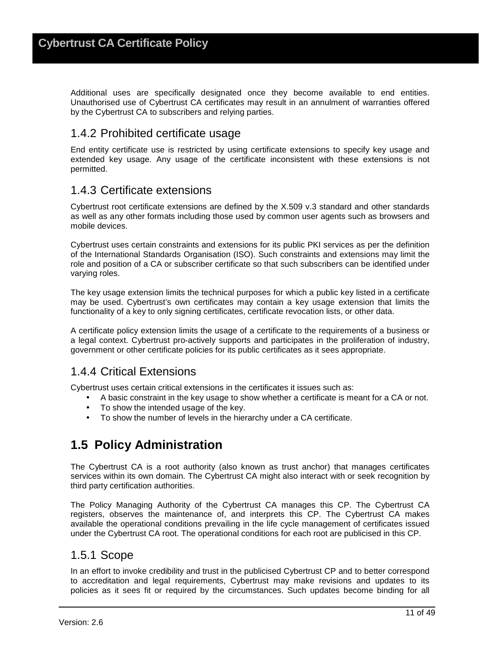Additional uses are specifically designated once they become available to end entities. Unauthorised use of Cybertrust CA certificates may result in an annulment of warranties offered by the Cybertrust CA to subscribers and relying parties.

#### 1.4.2 Prohibited certificate usage

End entity certificate use is restricted by using certificate extensions to specify key usage and extended key usage. Any usage of the certificate inconsistent with these extensions is not permitted.

#### 1.4.3 Certificate extensions

Cybertrust root certificate extensions are defined by the X.509 v.3 standard and other standards as well as any other formats including those used by common user agents such as browsers and mobile devices.

Cybertrust uses certain constraints and extensions for its public PKI services as per the definition of the International Standards Organisation (ISO). Such constraints and extensions may limit the role and position of a CA or subscriber certificate so that such subscribers can be identified under varying roles.

The key usage extension limits the technical purposes for which a public key listed in a certificate may be used. Cybertrust's own certificates may contain a key usage extension that limits the functionality of a key to only signing certificates, certificate revocation lists, or other data.

A certificate policy extension limits the usage of a certificate to the requirements of a business or a legal context. Cybertrust pro-actively supports and participates in the proliferation of industry, government or other certificate policies for its public certificates as it sees appropriate.

### 1.4.4 Critical Extensions

Cybertrust uses certain critical extensions in the certificates it issues such as:

- A basic constraint in the key usage to show whether a certificate is meant for a CA or not.
- To show the intended usage of the key.
- To show the number of levels in the hierarchy under a CA certificate.

## **1.5 Policy Administration**

The Cybertrust CA is a root authority (also known as trust anchor) that manages certificates services within its own domain. The Cybertrust CA might also interact with or seek recognition by third party certification authorities.

The Policy Managing Authority of the Cybertrust CA manages this CP. The Cybertrust CA registers, observes the maintenance of, and interprets this CP. The Cybertrust CA makes available the operational conditions prevailing in the life cycle management of certificates issued under the Cybertrust CA root. The operational conditions for each root are publicised in this CP.

#### 1.5.1 Scope

In an effort to invoke credibility and trust in the publicised Cybertrust CP and to better correspond to accreditation and legal requirements, Cybertrust may make revisions and updates to its policies as it sees fit or required by the circumstances. Such updates become binding for all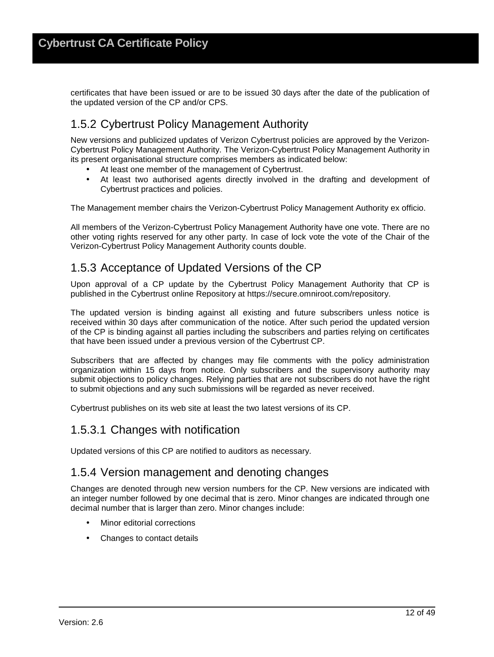certificates that have been issued or are to be issued 30 days after the date of the publication of the updated version of the CP and/or CPS.

## 1.5.2 Cybertrust Policy Management Authority

New versions and publicized updates of Verizon Cybertrust policies are approved by the Verizon-Cybertrust Policy Management Authority. The Verizon-Cybertrust Policy Management Authority in its present organisational structure comprises members as indicated below:

- At least one member of the management of Cybertrust.
- At least two authorised agents directly involved in the drafting and development of Cybertrust practices and policies.

The Management member chairs the Verizon-Cybertrust Policy Management Authority ex officio.

All members of the Verizon-Cybertrust Policy Management Authority have one vote. There are no other voting rights reserved for any other party. In case of lock vote the vote of the Chair of the Verizon-Cybertrust Policy Management Authority counts double.

## 1.5.3 Acceptance of Updated Versions of the CP

Upon approval of a CP update by the Cybertrust Policy Management Authority that CP is published in the Cybertrust online Repository at https://secure.omniroot.com/repository.

The updated version is binding against all existing and future subscribers unless notice is received within 30 days after communication of the notice. After such period the updated version of the CP is binding against all parties including the subscribers and parties relying on certificates that have been issued under a previous version of the Cybertrust CP.

Subscribers that are affected by changes may file comments with the policy administration organization within 15 days from notice. Only subscribers and the supervisory authority may submit objections to policy changes. Relying parties that are not subscribers do not have the right to submit objections and any such submissions will be regarded as never received.

Cybertrust publishes on its web site at least the two latest versions of its CP.

#### 1.5.3.1 Changes with notification

Updated versions of this CP are notified to auditors as necessary.

#### 1.5.4 Version management and denoting changes

Changes are denoted through new version numbers for the CP. New versions are indicated with an integer number followed by one decimal that is zero. Minor changes are indicated through one decimal number that is larger than zero. Minor changes include:

- Minor editorial corrections
- Changes to contact details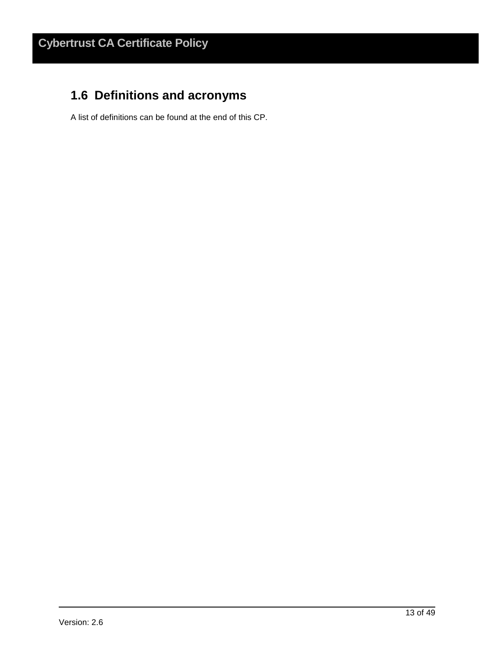## **1.6 Definitions and acronyms**

A list of definitions can be found at the end of this CP.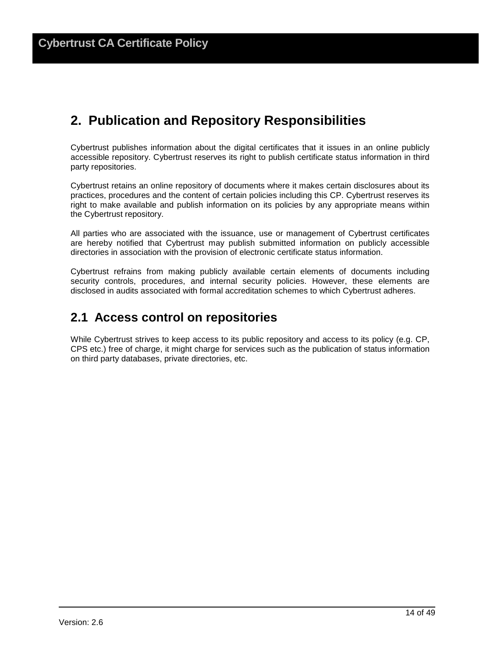## **2. Publication and Repository Responsibilities**

Cybertrust publishes information about the digital certificates that it issues in an online publicly accessible repository. Cybertrust reserves its right to publish certificate status information in third party repositories.

Cybertrust retains an online repository of documents where it makes certain disclosures about its practices, procedures and the content of certain policies including this CP. Cybertrust reserves its right to make available and publish information on its policies by any appropriate means within the Cybertrust repository.

All parties who are associated with the issuance, use or management of Cybertrust certificates are hereby notified that Cybertrust may publish submitted information on publicly accessible directories in association with the provision of electronic certificate status information.

Cybertrust refrains from making publicly available certain elements of documents including security controls, procedures, and internal security policies. However, these elements are disclosed in audits associated with formal accreditation schemes to which Cybertrust adheres.

## **2.1 Access control on repositories**

While Cybertrust strives to keep access to its public repository and access to its policy (e.g. CP, CPS etc.) free of charge, it might charge for services such as the publication of status information on third party databases, private directories, etc.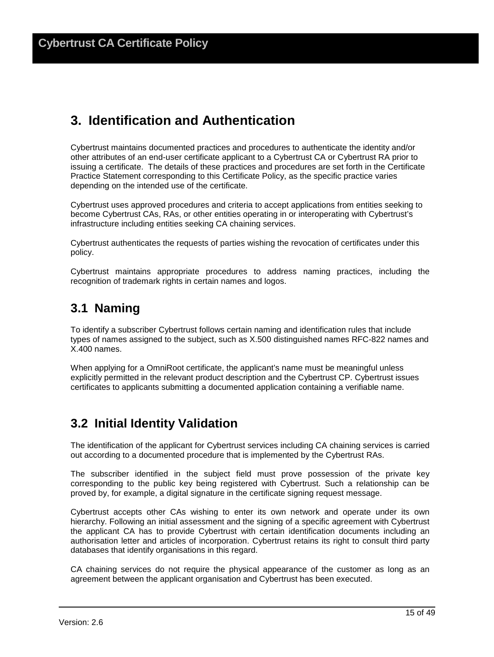## **3. Identification and Authentication**

Cybertrust maintains documented practices and procedures to authenticate the identity and/or other attributes of an end-user certificate applicant to a Cybertrust CA or Cybertrust RA prior to issuing a certificate. The details of these practices and procedures are set forth in the Certificate Practice Statement corresponding to this Certificate Policy, as the specific practice varies depending on the intended use of the certificate.

Cybertrust uses approved procedures and criteria to accept applications from entities seeking to become Cybertrust CAs, RAs, or other entities operating in or interoperating with Cybertrust's infrastructure including entities seeking CA chaining services.

Cybertrust authenticates the requests of parties wishing the revocation of certificates under this policy.

Cybertrust maintains appropriate procedures to address naming practices, including the recognition of trademark rights in certain names and logos.

## **3.1 Naming**

To identify a subscriber Cybertrust follows certain naming and identification rules that include types of names assigned to the subject, such as X.500 distinguished names RFC-822 names and X.400 names.

When applying for a OmniRoot certificate, the applicant's name must be meaningful unless explicitly permitted in the relevant product description and the Cybertrust CP. Cybertrust issues certificates to applicants submitting a documented application containing a verifiable name.

## **3.2 Initial Identity Validation**

The identification of the applicant for Cybertrust services including CA chaining services is carried out according to a documented procedure that is implemented by the Cybertrust RAs.

The subscriber identified in the subject field must prove possession of the private key corresponding to the public key being registered with Cybertrust. Such a relationship can be proved by, for example, a digital signature in the certificate signing request message.

Cybertrust accepts other CAs wishing to enter its own network and operate under its own hierarchy. Following an initial assessment and the signing of a specific agreement with Cybertrust the applicant CA has to provide Cybertrust with certain identification documents including an authorisation letter and articles of incorporation. Cybertrust retains its right to consult third party databases that identify organisations in this regard.

CA chaining services do not require the physical appearance of the customer as long as an agreement between the applicant organisation and Cybertrust has been executed.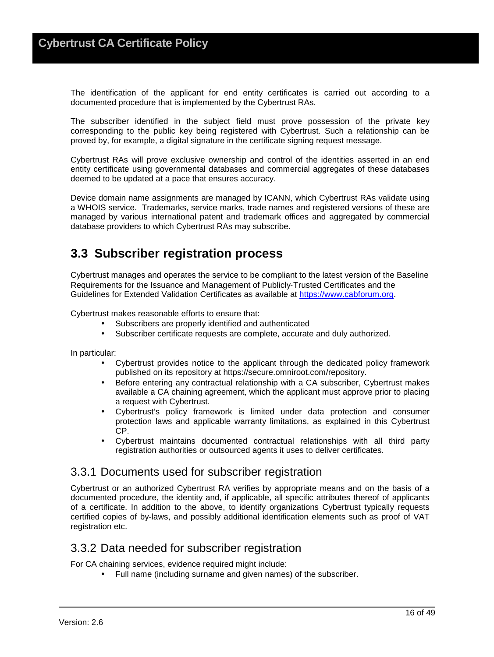The identification of the applicant for end entity certificates is carried out according to a documented procedure that is implemented by the Cybertrust RAs.

The subscriber identified in the subject field must prove possession of the private key corresponding to the public key being registered with Cybertrust. Such a relationship can be proved by, for example, a digital signature in the certificate signing request message.

Cybertrust RAs will prove exclusive ownership and control of the identities asserted in an end entity certificate using governmental databases and commercial aggregates of these databases deemed to be updated at a pace that ensures accuracy.

Device domain name assignments are managed by ICANN, which Cybertrust RAs validate using a WHOIS service. Trademarks, service marks, trade names and registered versions of these are managed by various international patent and trademark offices and aggregated by commercial database providers to which Cybertrust RAs may subscribe.

## **3.3 Subscriber registration process**

Cybertrust manages and operates the service to be compliant to the latest version of the Baseline Requirements for the Issuance and Management of Publicly‐Trusted Certificates and the Guidelines for Extended Validation Certificates as available at https://www.cabforum.org.

Cybertrust makes reasonable efforts to ensure that:

- Subscribers are properly identified and authenticated
- Subscriber certificate requests are complete, accurate and duly authorized.

In particular:

- Cybertrust provides notice to the applicant through the dedicated policy framework published on its repository at https://secure.omniroot.com/repository.
- Before entering any contractual relationship with a CA subscriber, Cybertrust makes available a CA chaining agreement, which the applicant must approve prior to placing a request with Cybertrust.
- Cybertrust's policy framework is limited under data protection and consumer protection laws and applicable warranty limitations, as explained in this Cybertrust CP.
- Cybertrust maintains documented contractual relationships with all third party registration authorities or outsourced agents it uses to deliver certificates.

#### 3.3.1 Documents used for subscriber registration

Cybertrust or an authorized Cybertrust RA verifies by appropriate means and on the basis of a documented procedure, the identity and, if applicable, all specific attributes thereof of applicants of a certificate. In addition to the above, to identify organizations Cybertrust typically requests certified copies of by-laws, and possibly additional identification elements such as proof of VAT registration etc.

#### 3.3.2 Data needed for subscriber registration

For CA chaining services, evidence required might include:

• Full name (including surname and given names) of the subscriber.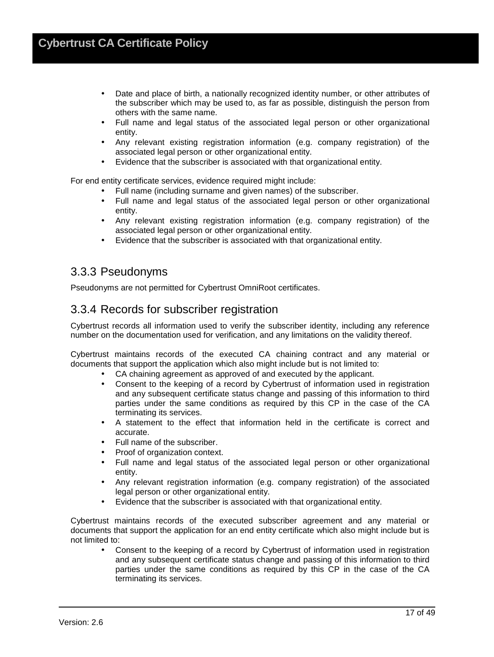- Date and place of birth, a nationally recognized identity number, or other attributes of the subscriber which may be used to, as far as possible, distinguish the person from others with the same name.
- Full name and legal status of the associated legal person or other organizational entity.
- Any relevant existing registration information (e.g. company registration) of the associated legal person or other organizational entity.
- Evidence that the subscriber is associated with that organizational entity.

For end entity certificate services, evidence required might include:

- Full name (including surname and given names) of the subscriber.
- Full name and legal status of the associated legal person or other organizational entity.
- Any relevant existing registration information (e.g. company registration) of the associated legal person or other organizational entity.
- Evidence that the subscriber is associated with that organizational entity.

#### 3.3.3 Pseudonyms

Pseudonyms are not permitted for Cybertrust OmniRoot certificates.

#### 3.3.4 Records for subscriber registration

Cybertrust records all information used to verify the subscriber identity, including any reference number on the documentation used for verification, and any limitations on the validity thereof.

Cybertrust maintains records of the executed CA chaining contract and any material or documents that support the application which also might include but is not limited to:

- CA chaining agreement as approved of and executed by the applicant.
- Consent to the keeping of a record by Cybertrust of information used in registration and any subsequent certificate status change and passing of this information to third parties under the same conditions as required by this CP in the case of the CA terminating its services.
- A statement to the effect that information held in the certificate is correct and accurate.
- Full name of the subscriber.
- Proof of organization context.
- Full name and legal status of the associated legal person or other organizational entity.
- Any relevant registration information (e.g. company registration) of the associated legal person or other organizational entity.
- Evidence that the subscriber is associated with that organizational entity.

Cybertrust maintains records of the executed subscriber agreement and any material or documents that support the application for an end entity certificate which also might include but is not limited to:

• Consent to the keeping of a record by Cybertrust of information used in registration and any subsequent certificate status change and passing of this information to third parties under the same conditions as required by this CP in the case of the CA terminating its services.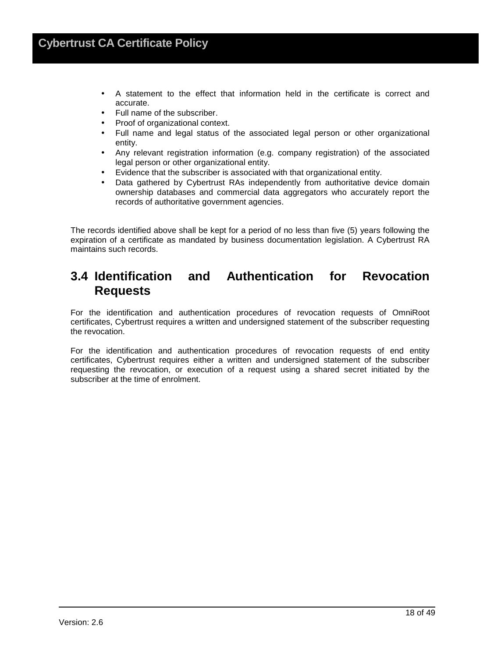- A statement to the effect that information held in the certificate is correct and accurate.
- Full name of the subscriber.
- Proof of organizational context.
- Full name and legal status of the associated legal person or other organizational entity.
- Any relevant registration information (e.g. company registration) of the associated legal person or other organizational entity.
- Evidence that the subscriber is associated with that organizational entity.
- Data gathered by Cybertrust RAs independently from authoritative device domain ownership databases and commercial data aggregators who accurately report the records of authoritative government agencies.

The records identified above shall be kept for a period of no less than five (5) years following the expiration of a certificate as mandated by business documentation legislation. A Cybertrust RA maintains such records.

## **3.4 Identification and Authentication for Revocation Requests**

For the identification and authentication procedures of revocation requests of OmniRoot certificates, Cybertrust requires a written and undersigned statement of the subscriber requesting the revocation.

For the identification and authentication procedures of revocation requests of end entity certificates, Cybertrust requires either a written and undersigned statement of the subscriber requesting the revocation, or execution of a request using a shared secret initiated by the subscriber at the time of enrolment.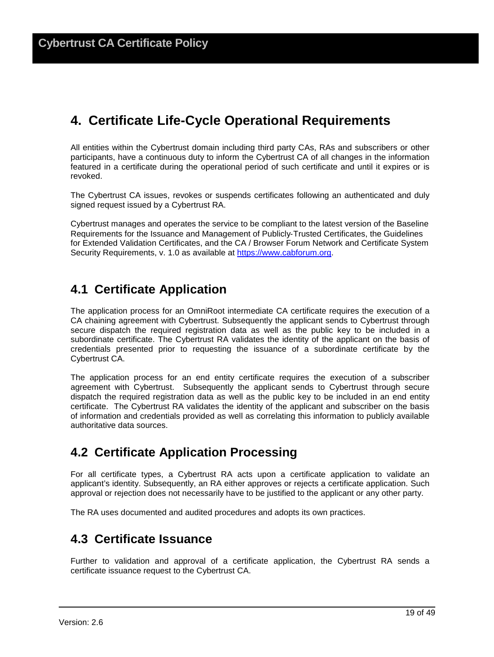## **4. Certificate Life-Cycle Operational Requirements**

All entities within the Cybertrust domain including third party CAs, RAs and subscribers or other participants, have a continuous duty to inform the Cybertrust CA of all changes in the information featured in a certificate during the operational period of such certificate and until it expires or is revoked.

The Cybertrust CA issues, revokes or suspends certificates following an authenticated and duly signed request issued by a Cybertrust RA.

Cybertrust manages and operates the service to be compliant to the latest version of the Baseline Requirements for the Issuance and Management of Publicly‐Trusted Certificates, the Guidelines for Extended Validation Certificates, and the CA / Browser Forum Network and Certificate System Security Requirements, v. 1.0 as available at https://www.cabforum.org.

## **4.1 Certificate Application**

The application process for an OmniRoot intermediate CA certificate requires the execution of a CA chaining agreement with Cybertrust. Subsequently the applicant sends to Cybertrust through secure dispatch the required registration data as well as the public key to be included in a subordinate certificate. The Cybertrust RA validates the identity of the applicant on the basis of credentials presented prior to requesting the issuance of a subordinate certificate by the Cybertrust CA.

The application process for an end entity certificate requires the execution of a subscriber agreement with Cybertrust. Subsequently the applicant sends to Cybertrust through secure dispatch the required registration data as well as the public key to be included in an end entity certificate. The Cybertrust RA validates the identity of the applicant and subscriber on the basis of information and credentials provided as well as correlating this information to publicly available authoritative data sources.

## **4.2 Certificate Application Processing**

For all certificate types, a Cybertrust RA acts upon a certificate application to validate an applicant's identity. Subsequently, an RA either approves or rejects a certificate application. Such approval or rejection does not necessarily have to be justified to the applicant or any other party.

The RA uses documented and audited procedures and adopts its own practices.

## **4.3 Certificate Issuance**

Further to validation and approval of a certificate application, the Cybertrust RA sends a certificate issuance request to the Cybertrust CA.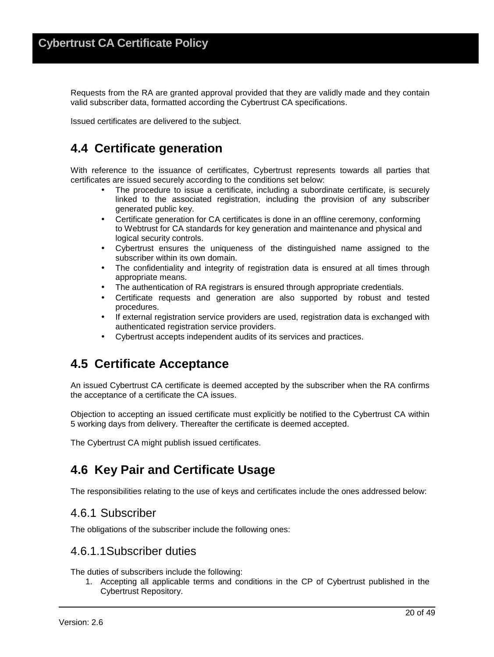Requests from the RA are granted approval provided that they are validly made and they contain valid subscriber data, formatted according the Cybertrust CA specifications.

Issued certificates are delivered to the subject.

## **4.4 Certificate generation**

With reference to the issuance of certificates, Cybertrust represents towards all parties that certificates are issued securely according to the conditions set below:

- The procedure to issue a certificate, including a subordinate certificate, is securely linked to the associated registration, including the provision of any subscriber generated public key.
- Certificate generation for CA certificates is done in an offline ceremony, conforming to Webtrust for CA standards for key generation and maintenance and physical and logical security controls.
- Cybertrust ensures the uniqueness of the distinguished name assigned to the subscriber within its own domain.
- The confidentiality and integrity of registration data is ensured at all times through appropriate means.
- The authentication of RA registrars is ensured through appropriate credentials.
- Certificate requests and generation are also supported by robust and tested procedures.
- If external registration service providers are used, registration data is exchanged with authenticated registration service providers.
- Cybertrust accepts independent audits of its services and practices.

## **4.5 Certificate Acceptance**

An issued Cybertrust CA certificate is deemed accepted by the subscriber when the RA confirms the acceptance of a certificate the CA issues.

Objection to accepting an issued certificate must explicitly be notified to the Cybertrust CA within 5 working days from delivery. Thereafter the certificate is deemed accepted.

The Cybertrust CA might publish issued certificates.

## **4.6 Key Pair and Certificate Usage**

The responsibilities relating to the use of keys and certificates include the ones addressed below:

#### 4.6.1 Subscriber

The obligations of the subscriber include the following ones:

### 4.6.1.1 Subscriber duties

The duties of subscribers include the following:

1. Accepting all applicable terms and conditions in the CP of Cybertrust published in the Cybertrust Repository.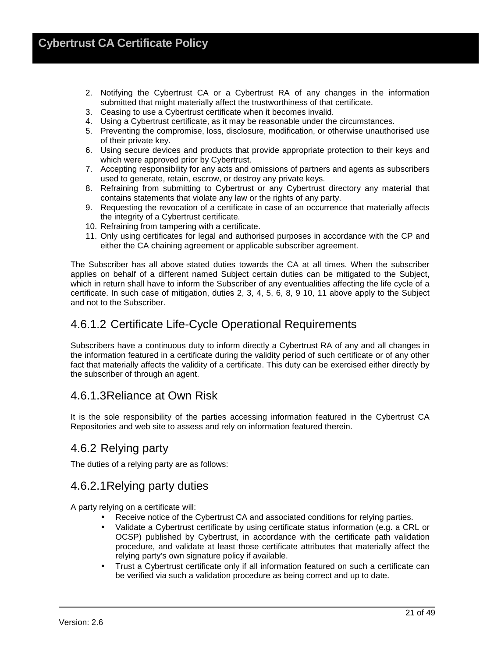- 2. Notifying the Cybertrust CA or a Cybertrust RA of any changes in the information submitted that might materially affect the trustworthiness of that certificate.
- 3. Ceasing to use a Cybertrust certificate when it becomes invalid.
- 4. Using a Cybertrust certificate, as it may be reasonable under the circumstances.
- 5. Preventing the compromise, loss, disclosure, modification, or otherwise unauthorised use of their private key.
- 6. Using secure devices and products that provide appropriate protection to their keys and which were approved prior by Cybertrust.
- 7. Accepting responsibility for any acts and omissions of partners and agents as subscribers used to generate, retain, escrow, or destroy any private keys.
- 8. Refraining from submitting to Cybertrust or any Cybertrust directory any material that contains statements that violate any law or the rights of any party.
- 9. Requesting the revocation of a certificate in case of an occurrence that materially affects the integrity of a Cybertrust certificate.
- 10. Refraining from tampering with a certificate.
- 11. Only using certificates for legal and authorised purposes in accordance with the CP and either the CA chaining agreement or applicable subscriber agreement.

The Subscriber has all above stated duties towards the CA at all times. When the subscriber applies on behalf of a different named Subject certain duties can be mitigated to the Subject, which in return shall have to inform the Subscriber of any eventualities affecting the life cycle of a certificate. In such case of mitigation, duties 2, 3, 4, 5, 6, 8, 9 10, 11 above apply to the Subject and not to the Subscriber.

### 4.6.1.2 Certificate Life-Cycle Operational Requirements

Subscribers have a continuous duty to inform directly a Cybertrust RA of any and all changes in the information featured in a certificate during the validity period of such certificate or of any other fact that materially affects the validity of a certificate. This duty can be exercised either directly by the subscriber of through an agent.

### 4.6.1.3 Reliance at Own Risk

It is the sole responsibility of the parties accessing information featured in the Cybertrust CA Repositories and web site to assess and rely on information featured therein.

#### 4.6.2 Relying party

The duties of a relying party are as follows:

### 4.6.2.1 Relying party duties

A party relying on a certificate will:

- Receive notice of the Cybertrust CA and associated conditions for relying parties.
- Validate a Cybertrust certificate by using certificate status information (e.g. a CRL or OCSP) published by Cybertrust, in accordance with the certificate path validation procedure, and validate at least those certificate attributes that materially affect the relying party's own signature policy if available.
- Trust a Cybertrust certificate only if all information featured on such a certificate can be verified via such a validation procedure as being correct and up to date.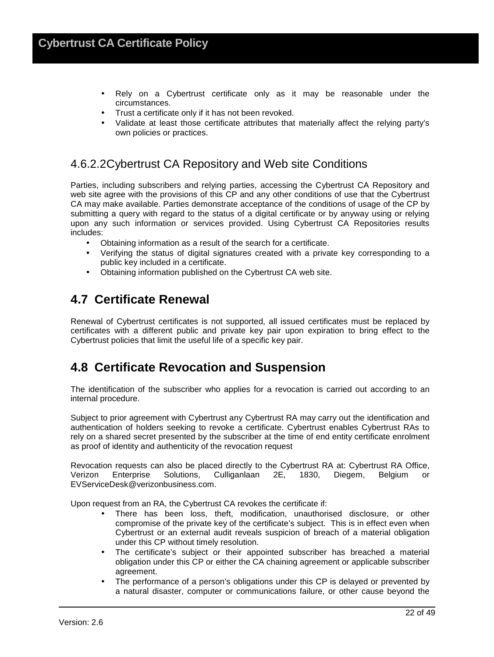- Rely on a Cybertrust certificate only as it may be reasonable under the circumstances.
- Trust a certificate only if it has not been revoked.
- Validate at least those certificate attributes that materially affect the relying party's own policies or practices.

### 4.6.2.2 Cybertrust CA Repository and Web site Conditions

Parties, including subscribers and relying parties, accessing the Cybertrust CA Repository and web site agree with the provisions of this CP and any other conditions of use that the Cybertrust CA may make available. Parties demonstrate acceptance of the conditions of usage of the CP by submitting a query with regard to the status of a digital certificate or by anyway using or relying upon any such information or services provided. Using Cybertrust CA Repositories results includes:

- Obtaining information as a result of the search for a certificate.
- Verifying the status of digital signatures created with a private key corresponding to a public key included in a certificate.
- Obtaining information published on the Cybertrust CA web site.

## **4.7 Certificate Renewal**

Renewal of Cybertrust certificates is not supported, all issued certificates must be replaced by certificates with a different public and private key pair upon expiration to bring effect to the Cybertrust policies that limit the useful life of a specific key pair.

## **4.8 Certificate Revocation and Suspension**

The identification of the subscriber who applies for a revocation is carried out according to an internal procedure.

Subject to prior agreement with Cybertrust any Cybertrust RA may carry out the identification and authentication of holders seeking to revoke a certificate. Cybertrust enables Cybertrust RAs to rely on a shared secret presented by the subscriber at the time of end entity certificate enrolment as proof of identity and authenticity of the revocation request

Revocation requests can also be placed directly to the Cybertrust RA at: Cybertrust RA Office, Verizon Enterprise Solutions, Culliganlaan 2E, 1830, Diegem, Belgium or EVServiceDesk@verizonbusiness.com.

Upon request from an RA, the Cybertrust CA revokes the certificate if:

- There has been loss, theft, modification, unauthorised disclosure, or other compromise of the private key of the certificate's subject. This is in effect even when Cybertrust or an external audit reveals suspicion of breach of a material obligation under this CP without timely resolution.
- The certificate's subject or their appointed subscriber has breached a material obligation under this CP or either the CA chaining agreement or applicable subscriber agreement.
- The performance of a person's obligations under this CP is delayed or prevented by a natural disaster, computer or communications failure, or other cause beyond the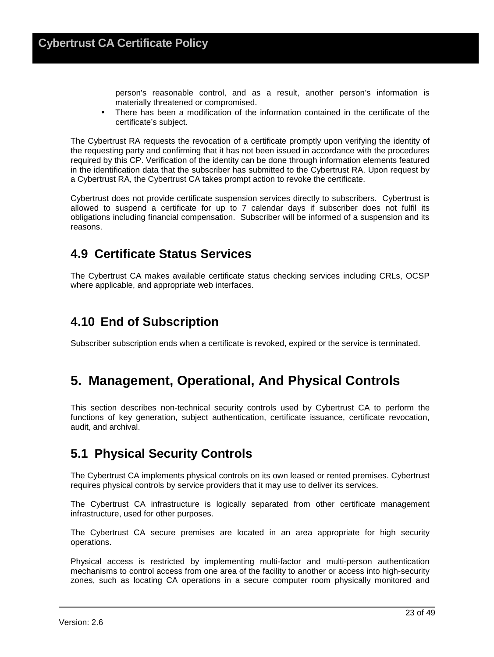person's reasonable control, and as a result, another person's information is materially threatened or compromised.

• There has been a modification of the information contained in the certificate of the certificate's subject.

The Cybertrust RA requests the revocation of a certificate promptly upon verifying the identity of the requesting party and confirming that it has not been issued in accordance with the procedures required by this CP. Verification of the identity can be done through information elements featured in the identification data that the subscriber has submitted to the Cybertrust RA. Upon request by a Cybertrust RA, the Cybertrust CA takes prompt action to revoke the certificate.

Cybertrust does not provide certificate suspension services directly to subscribers. Cybertrust is allowed to suspend a certificate for up to 7 calendar days if subscriber does not fulfil its obligations including financial compensation. Subscriber will be informed of a suspension and its reasons.

## **4.9 Certificate Status Services**

The Cybertrust CA makes available certificate status checking services including CRLs, OCSP where applicable, and appropriate web interfaces.

## **4.10 End of Subscription**

Subscriber subscription ends when a certificate is revoked, expired or the service is terminated.

## **5. Management, Operational, And Physical Controls**

This section describes non-technical security controls used by Cybertrust CA to perform the functions of key generation, subject authentication, certificate issuance, certificate revocation, audit, and archival.

## **5.1 Physical Security Controls**

The Cybertrust CA implements physical controls on its own leased or rented premises. Cybertrust requires physical controls by service providers that it may use to deliver its services.

The Cybertrust CA infrastructure is logically separated from other certificate management infrastructure, used for other purposes.

The Cybertrust CA secure premises are located in an area appropriate for high security operations.

Physical access is restricted by implementing multi-factor and multi-person authentication mechanisms to control access from one area of the facility to another or access into high-security zones, such as locating CA operations in a secure computer room physically monitored and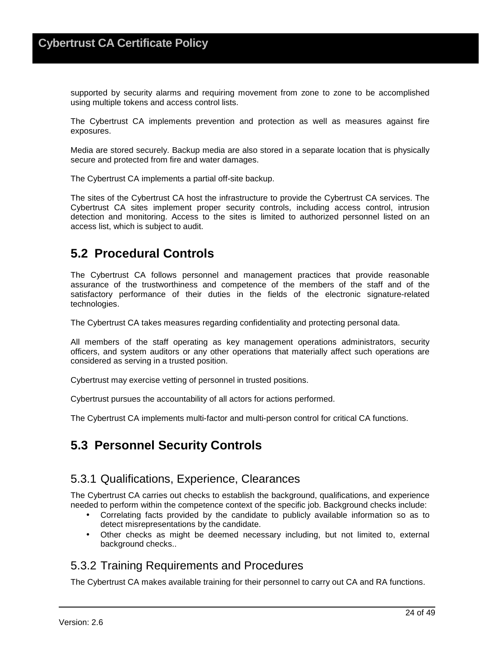supported by security alarms and requiring movement from zone to zone to be accomplished using multiple tokens and access control lists.

The Cybertrust CA implements prevention and protection as well as measures against fire exposures.

Media are stored securely. Backup media are also stored in a separate location that is physically secure and protected from fire and water damages.

The Cybertrust CA implements a partial off-site backup.

The sites of the Cybertrust CA host the infrastructure to provide the Cybertrust CA services. The Cybertrust CA sites implement proper security controls, including access control, intrusion detection and monitoring. Access to the sites is limited to authorized personnel listed on an access list, which is subject to audit.

## **5.2 Procedural Controls**

The Cybertrust CA follows personnel and management practices that provide reasonable assurance of the trustworthiness and competence of the members of the staff and of the satisfactory performance of their duties in the fields of the electronic signature-related technologies.

The Cybertrust CA takes measures regarding confidentiality and protecting personal data.

All members of the staff operating as key management operations administrators, security officers, and system auditors or any other operations that materially affect such operations are considered as serving in a trusted position.

Cybertrust may exercise vetting of personnel in trusted positions.

Cybertrust pursues the accountability of all actors for actions performed.

The Cybertrust CA implements multi-factor and multi-person control for critical CA functions.

## **5.3 Personnel Security Controls**

#### 5.3.1 Qualifications, Experience, Clearances

The Cybertrust CA carries out checks to establish the background, qualifications, and experience needed to perform within the competence context of the specific job. Background checks include:

- Correlating facts provided by the candidate to publicly available information so as to detect misrepresentations by the candidate.
- Other checks as might be deemed necessary including, but not limited to, external background checks..

#### 5.3.2 Training Requirements and Procedures

The Cybertrust CA makes available training for their personnel to carry out CA and RA functions.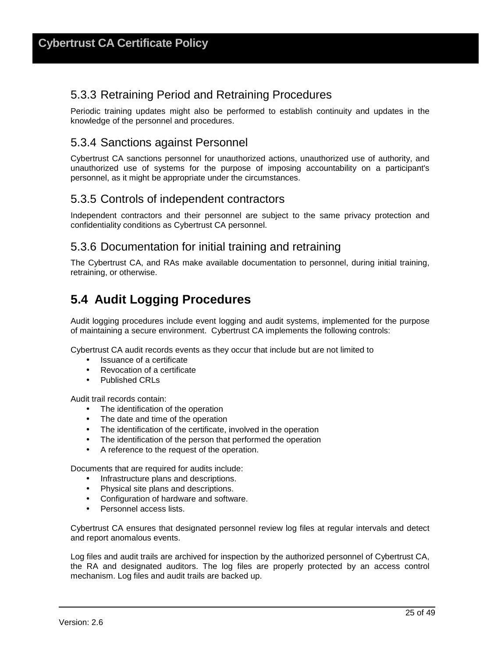## 5.3.3 Retraining Period and Retraining Procedures

Periodic training updates might also be performed to establish continuity and updates in the knowledge of the personnel and procedures.

## 5.3.4 Sanctions against Personnel

Cybertrust CA sanctions personnel for unauthorized actions, unauthorized use of authority, and unauthorized use of systems for the purpose of imposing accountability on a participant's personnel, as it might be appropriate under the circumstances.

## 5.3.5 Controls of independent contractors

Independent contractors and their personnel are subject to the same privacy protection and confidentiality conditions as Cybertrust CA personnel.

#### 5.3.6 Documentation for initial training and retraining

The Cybertrust CA, and RAs make available documentation to personnel, during initial training, retraining, or otherwise.

## **5.4 Audit Logging Procedures**

Audit logging procedures include event logging and audit systems, implemented for the purpose of maintaining a secure environment. Cybertrust CA implements the following controls:

Cybertrust CA audit records events as they occur that include but are not limited to

- Issuance of a certificate
- Revocation of a certificate
- Published CRLs

Audit trail records contain:

- The identification of the operation
- The date and time of the operation
- The identification of the certificate, involved in the operation
- The identification of the person that performed the operation
- A reference to the request of the operation.

Documents that are required for audits include:

- Infrastructure plans and descriptions.
- Physical site plans and descriptions.
- Configuration of hardware and software.
- Personnel access lists.

Cybertrust CA ensures that designated personnel review log files at regular intervals and detect and report anomalous events.

Log files and audit trails are archived for inspection by the authorized personnel of Cybertrust CA, the RA and designated auditors. The log files are properly protected by an access control mechanism. Log files and audit trails are backed up.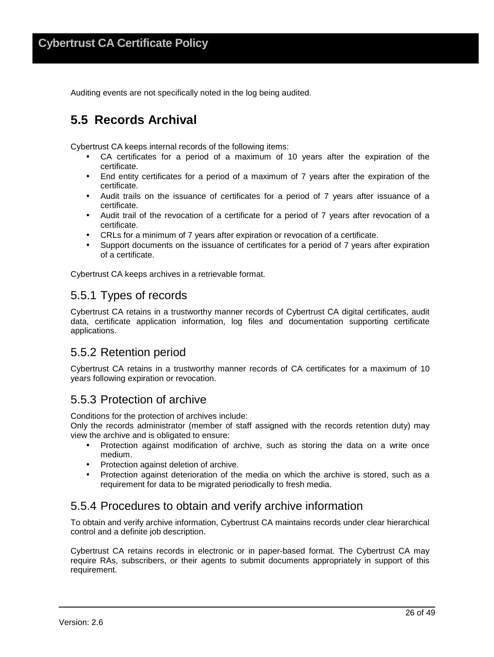Auditing events are not specifically noted in the log being audited.

## **5.5 Records Archival**

Cybertrust CA keeps internal records of the following items:

- CA certificates for a period of a maximum of 10 years after the expiration of the certificate.
- End entity certificates for a period of a maximum of 7 years after the expiration of the certificate.
- Audit trails on the issuance of certificates for a period of 7 years after issuance of a certificate.
- Audit trail of the revocation of a certificate for a period of 7 years after revocation of a certificate.
- CRLs for a minimum of 7 years after expiration or revocation of a certificate.
- Support documents on the issuance of certificates for a period of 7 years after expiration of a certificate.

Cybertrust CA keeps archives in a retrievable format.

#### 5.5.1 Types of records

Cybertrust CA retains in a trustworthy manner records of Cybertrust CA digital certificates, audit data, certificate application information, log files and documentation supporting certificate applications.

#### 5.5.2 Retention period

Cybertrust CA retains in a trustworthy manner records of CA certificates for a maximum of 10 years following expiration or revocation.

#### 5.5.3 Protection of archive

Conditions for the protection of archives include:

Only the records administrator (member of staff assigned with the records retention duty) may view the archive and is obligated to ensure:

- Protection against modification of archive, such as storing the data on a write once medium.
- Protection against deletion of archive.
- Protection against deterioration of the media on which the archive is stored, such as a requirement for data to be migrated periodically to fresh media.

#### 5.5.4 Procedures to obtain and verify archive information

To obtain and verify archive information, Cybertrust CA maintains records under clear hierarchical control and a definite job description.

Cybertrust CA retains records in electronic or in paper-based format. The Cybertrust CA may require RAs, subscribers, or their agents to submit documents appropriately in support of this requirement.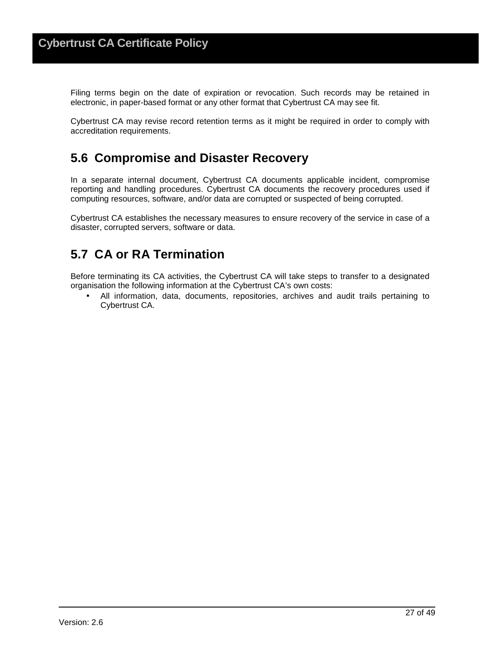Filing terms begin on the date of expiration or revocation. Such records may be retained in electronic, in paper-based format or any other format that Cybertrust CA may see fit.

Cybertrust CA may revise record retention terms as it might be required in order to comply with accreditation requirements.

## **5.6 Compromise and Disaster Recovery**

In a separate internal document, Cybertrust CA documents applicable incident, compromise reporting and handling procedures. Cybertrust CA documents the recovery procedures used if computing resources, software, and/or data are corrupted or suspected of being corrupted.

Cybertrust CA establishes the necessary measures to ensure recovery of the service in case of a disaster, corrupted servers, software or data.

## **5.7 CA or RA Termination**

Before terminating its CA activities, the Cybertrust CA will take steps to transfer to a designated organisation the following information at the Cybertrust CA's own costs:

• All information, data, documents, repositories, archives and audit trails pertaining to Cybertrust CA.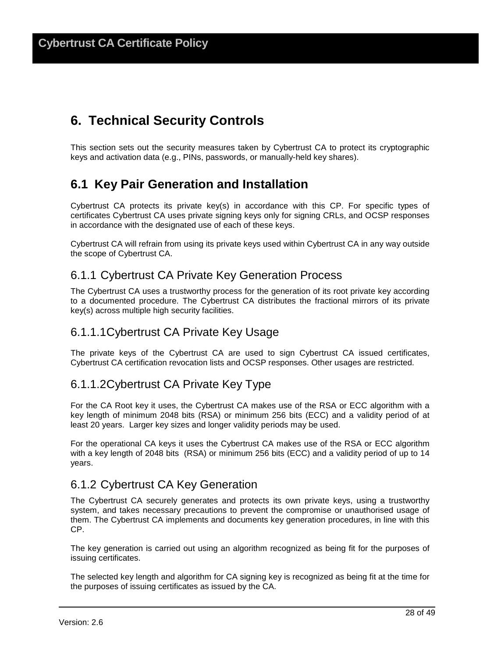## **6. Technical Security Controls**

This section sets out the security measures taken by Cybertrust CA to protect its cryptographic keys and activation data (e.g., PINs, passwords, or manually-held key shares).

## **6.1 Key Pair Generation and Installation**

Cybertrust CA protects its private key(s) in accordance with this CP. For specific types of certificates Cybertrust CA uses private signing keys only for signing CRLs, and OCSP responses in accordance with the designated use of each of these keys.

Cybertrust CA will refrain from using its private keys used within Cybertrust CA in any way outside the scope of Cybertrust CA.

#### 6.1.1 Cybertrust CA Private Key Generation Process

The Cybertrust CA uses a trustworthy process for the generation of its root private key according to a documented procedure. The Cybertrust CA distributes the fractional mirrors of its private key(s) across multiple high security facilities.

### 6.1.1.1 Cybertrust CA Private Key Usage

The private keys of the Cybertrust CA are used to sign Cybertrust CA issued certificates, Cybertrust CA certification revocation lists and OCSP responses. Other usages are restricted.

## 6.1.1.2 Cybertrust CA Private Key Type

For the CA Root key it uses, the Cybertrust CA makes use of the RSA or ECC algorithm with a key length of minimum 2048 bits (RSA) or minimum 256 bits (ECC) and a validity period of at least 20 years. Larger key sizes and longer validity periods may be used.

For the operational CA keys it uses the Cybertrust CA makes use of the RSA or ECC algorithm with a key length of 2048 bits (RSA) or minimum 256 bits (ECC) and a validity period of up to 14 years.

### 6.1.2 Cybertrust CA Key Generation

The Cybertrust CA securely generates and protects its own private keys, using a trustworthy system, and takes necessary precautions to prevent the compromise or unauthorised usage of them. The Cybertrust CA implements and documents key generation procedures, in line with this CP.

The key generation is carried out using an algorithm recognized as being fit for the purposes of issuing certificates.

The selected key length and algorithm for CA signing key is recognized as being fit at the time for the purposes of issuing certificates as issued by the CA.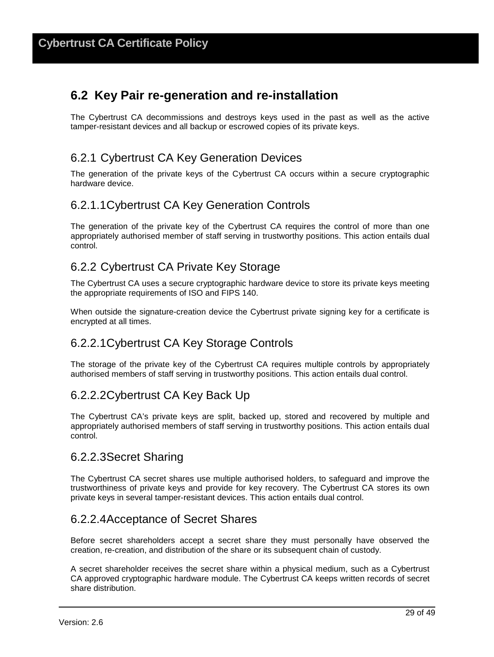## **6.2 Key Pair re-generation and re-installation**

The Cybertrust CA decommissions and destroys keys used in the past as well as the active tamper-resistant devices and all backup or escrowed copies of its private keys.

## 6.2.1 Cybertrust CA Key Generation Devices

The generation of the private keys of the Cybertrust CA occurs within a secure cryptographic hardware device.

### 6.2.1.1 Cybertrust CA Key Generation Controls

The generation of the private key of the Cybertrust CA requires the control of more than one appropriately authorised member of staff serving in trustworthy positions. This action entails dual control.

## 6.2.2 Cybertrust CA Private Key Storage

The Cybertrust CA uses a secure cryptographic hardware device to store its private keys meeting the appropriate requirements of ISO and FIPS 140.

When outside the signature-creation device the Cybertrust private signing key for a certificate is encrypted at all times.

## 6.2.2.1 Cybertrust CA Key Storage Controls

The storage of the private key of the Cybertrust CA requires multiple controls by appropriately authorised members of staff serving in trustworthy positions. This action entails dual control.

### 6.2.2.2 Cybertrust CA Key Back Up

The Cybertrust CA's private keys are split, backed up, stored and recovered by multiple and appropriately authorised members of staff serving in trustworthy positions. This action entails dual control.

#### 6.2.2.3 Secret Sharing

The Cybertrust CA secret shares use multiple authorised holders, to safeguard and improve the trustworthiness of private keys and provide for key recovery. The Cybertrust CA stores its own private keys in several tamper-resistant devices. This action entails dual control.

#### 6.2.2.4 Acceptance of Secret Shares

Before secret shareholders accept a secret share they must personally have observed the creation, re-creation, and distribution of the share or its subsequent chain of custody.

A secret shareholder receives the secret share within a physical medium, such as a Cybertrust CA approved cryptographic hardware module. The Cybertrust CA keeps written records of secret share distribution.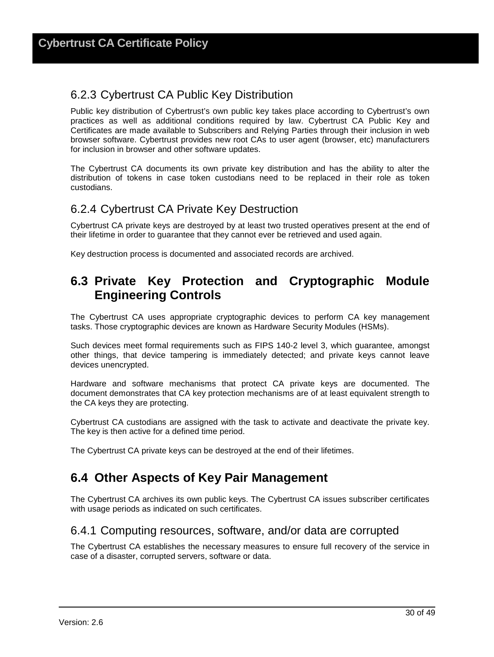## 6.2.3 Cybertrust CA Public Key Distribution

Public key distribution of Cybertrust's own public key takes place according to Cybertrust's own practices as well as additional conditions required by law. Cybertrust CA Public Key and Certificates are made available to Subscribers and Relying Parties through their inclusion in web browser software. Cybertrust provides new root CAs to user agent (browser, etc) manufacturers for inclusion in browser and other software updates.

The Cybertrust CA documents its own private key distribution and has the ability to alter the distribution of tokens in case token custodians need to be replaced in their role as token custodians.

## 6.2.4 Cybertrust CA Private Key Destruction

Cybertrust CA private keys are destroyed by at least two trusted operatives present at the end of their lifetime in order to guarantee that they cannot ever be retrieved and used again.

Key destruction process is documented and associated records are archived.

## **6.3 Private Key Protection and Cryptographic Module Engineering Controls**

The Cybertrust CA uses appropriate cryptographic devices to perform CA key management tasks. Those cryptographic devices are known as Hardware Security Modules (HSMs).

Such devices meet formal requirements such as FIPS 140-2 level 3, which guarantee, amongst other things, that device tampering is immediately detected; and private keys cannot leave devices unencrypted.

Hardware and software mechanisms that protect CA private keys are documented. The document demonstrates that CA key protection mechanisms are of at least equivalent strength to the CA keys they are protecting.

Cybertrust CA custodians are assigned with the task to activate and deactivate the private key. The key is then active for a defined time period.

The Cybertrust CA private keys can be destroyed at the end of their lifetimes.

## **6.4 Other Aspects of Key Pair Management**

The Cybertrust CA archives its own public keys. The Cybertrust CA issues subscriber certificates with usage periods as indicated on such certificates.

### 6.4.1 Computing resources, software, and/or data are corrupted

The Cybertrust CA establishes the necessary measures to ensure full recovery of the service in case of a disaster, corrupted servers, software or data.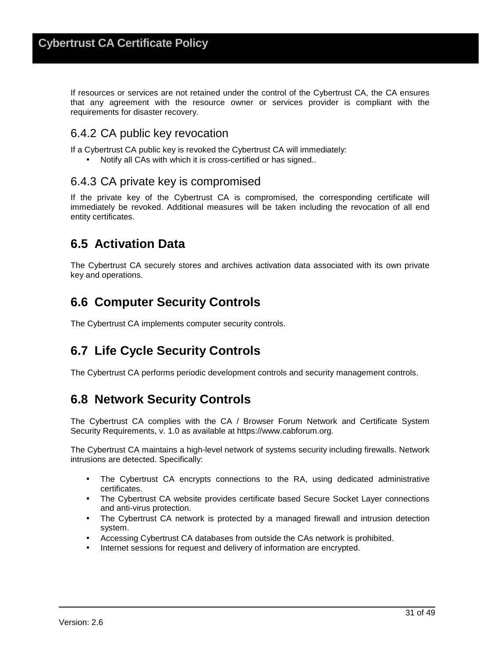If resources or services are not retained under the control of the Cybertrust CA, the CA ensures that any agreement with the resource owner or services provider is compliant with the requirements for disaster recovery.

### 6.4.2 CA public key revocation

If a Cybertrust CA public key is revoked the Cybertrust CA will immediately:

• Notify all CAs with which it is cross-certified or has signed..

### 6.4.3 CA private key is compromised

If the private key of the Cybertrust CA is compromised, the corresponding certificate will immediately be revoked. Additional measures will be taken including the revocation of all end entity certificates.

## **6.5 Activation Data**

The Cybertrust CA securely stores and archives activation data associated with its own private key and operations.

## **6.6 Computer Security Controls**

The Cybertrust CA implements computer security controls.

## **6.7 Life Cycle Security Controls**

The Cybertrust CA performs periodic development controls and security management controls.

## **6.8 Network Security Controls**

The Cybertrust CA complies with the CA / Browser Forum Network and Certificate System Security Requirements, v. 1.0 as available at https://www.cabforum.org.

The Cybertrust CA maintains a high-level network of systems security including firewalls. Network intrusions are detected. Specifically:

- The Cybertrust CA encrypts connections to the RA, using dedicated administrative certificates.
- The Cybertrust CA website provides certificate based Secure Socket Layer connections and anti-virus protection.
- The Cybertrust CA network is protected by a managed firewall and intrusion detection system.
- Accessing Cybertrust CA databases from outside the CAs network is prohibited.
- Internet sessions for request and delivery of information are encrypted.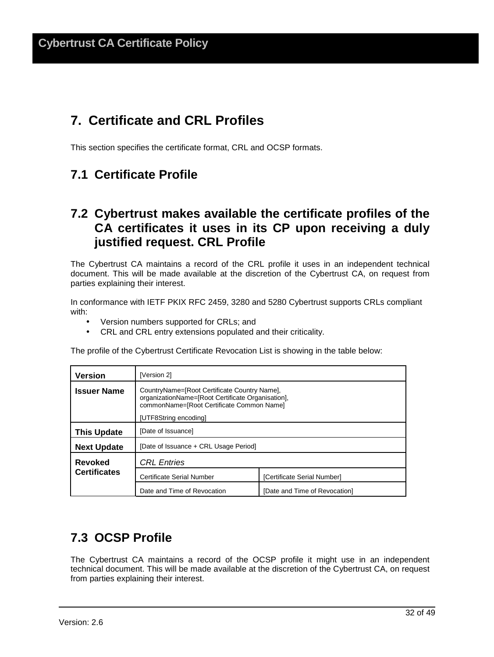## **7. Certificate and CRL Profiles**

This section specifies the certificate format, CRL and OCSP formats.

## **7.1 Certificate Profile**

## **7.2 Cybertrust makes available the certificate profiles of the CA certificates it uses in its CP upon receiving a duly justified request. CRL Profile**

The Cybertrust CA maintains a record of the CRL profile it uses in an independent technical document. This will be made available at the discretion of the Cybertrust CA, on request from parties explaining their interest.

In conformance with IETF PKIX RFC 2459, 3280 and 5280 Cybertrust supports CRLs compliant with:

- Version numbers supported for CRLs; and
- CRL and CRL entry extensions populated and their criticality.

The profile of the Cybertrust Certificate Revocation List is showing in the table below:

| <b>Version</b>      | [Version 2]                                                                                                                                                             |                               |  |
|---------------------|-------------------------------------------------------------------------------------------------------------------------------------------------------------------------|-------------------------------|--|
| <b>Issuer Name</b>  | CountryName=[Root Certificate Country Name],<br>organizationName=[Root Certificate Organisation],<br>commonName=[Root Certificate Common Name]<br>[UTF8String encoding] |                               |  |
| <b>This Update</b>  | [Date of Issuance]                                                                                                                                                      |                               |  |
| <b>Next Update</b>  | [Date of Issuance + CRL Usage Period]                                                                                                                                   |                               |  |
| Revoked             | <b>CRL</b> Entries                                                                                                                                                      |                               |  |
| <b>Certificates</b> | Certificate Serial Number                                                                                                                                               | [Certificate Serial Number]   |  |
|                     | Date and Time of Revocation                                                                                                                                             | [Date and Time of Revocation] |  |

## **7.3 OCSP Profile**

The Cybertrust CA maintains a record of the OCSP profile it might use in an independent technical document. This will be made available at the discretion of the Cybertrust CA, on request from parties explaining their interest.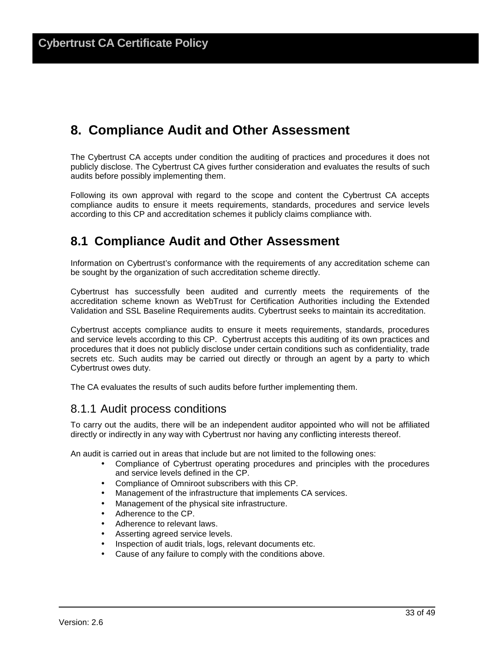## **8. Compliance Audit and Other Assessment**

The Cybertrust CA accepts under condition the auditing of practices and procedures it does not publicly disclose. The Cybertrust CA gives further consideration and evaluates the results of such audits before possibly implementing them.

Following its own approval with regard to the scope and content the Cybertrust CA accepts compliance audits to ensure it meets requirements, standards, procedures and service levels according to this CP and accreditation schemes it publicly claims compliance with.

## **8.1 Compliance Audit and Other Assessment**

Information on Cybertrust's conformance with the requirements of any accreditation scheme can be sought by the organization of such accreditation scheme directly.

Cybertrust has successfully been audited and currently meets the requirements of the accreditation scheme known as WebTrust for Certification Authorities including the Extended Validation and SSL Baseline Requirements audits. Cybertrust seeks to maintain its accreditation.

Cybertrust accepts compliance audits to ensure it meets requirements, standards, procedures and service levels according to this CP. Cybertrust accepts this auditing of its own practices and procedures that it does not publicly disclose under certain conditions such as confidentiality, trade secrets etc. Such audits may be carried out directly or through an agent by a party to which Cybertrust owes duty.

The CA evaluates the results of such audits before further implementing them.

#### 8.1.1 Audit process conditions

To carry out the audits, there will be an independent auditor appointed who will not be affiliated directly or indirectly in any way with Cybertrust nor having any conflicting interests thereof.

An audit is carried out in areas that include but are not limited to the following ones:

- Compliance of Cybertrust operating procedures and principles with the procedures and service levels defined in the CP.
- Compliance of Omniroot subscribers with this CP.
- Management of the infrastructure that implements CA services.
- Management of the physical site infrastructure.
- Adherence to the CP.
- Adherence to relevant laws.
- Asserting agreed service levels.
- Inspection of audit trials, logs, relevant documents etc.
- Cause of any failure to comply with the conditions above.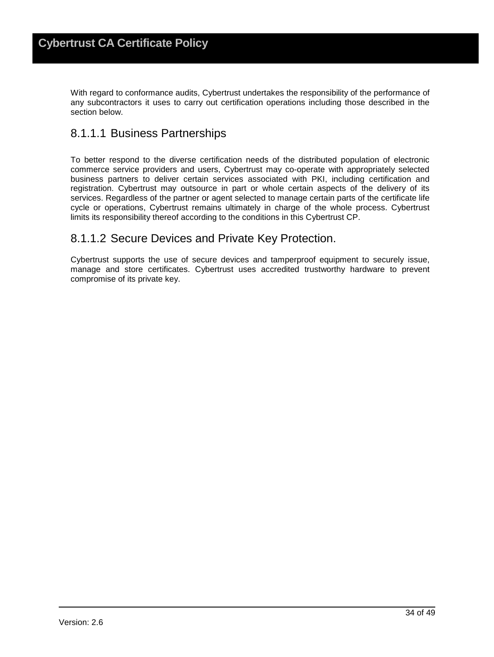With regard to conformance audits, Cybertrust undertakes the responsibility of the performance of any subcontractors it uses to carry out certification operations including those described in the section below.

## 8.1.1.1 Business Partnerships

To better respond to the diverse certification needs of the distributed population of electronic commerce service providers and users, Cybertrust may co-operate with appropriately selected business partners to deliver certain services associated with PKI, including certification and registration. Cybertrust may outsource in part or whole certain aspects of the delivery of its services. Regardless of the partner or agent selected to manage certain parts of the certificate life cycle or operations, Cybertrust remains ultimately in charge of the whole process. Cybertrust limits its responsibility thereof according to the conditions in this Cybertrust CP.

#### 8.1.1.2 Secure Devices and Private Key Protection.

Cybertrust supports the use of secure devices and tamperproof equipment to securely issue, manage and store certificates. Cybertrust uses accredited trustworthy hardware to prevent compromise of its private key.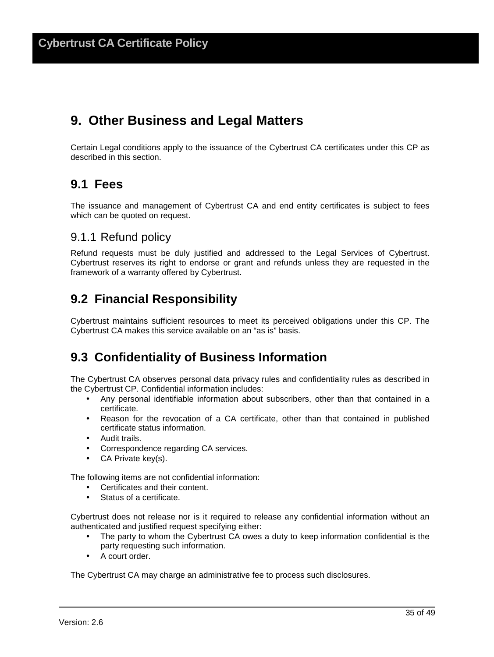## **9. Other Business and Legal Matters**

Certain Legal conditions apply to the issuance of the Cybertrust CA certificates under this CP as described in this section.

## **9.1 Fees**

The issuance and management of Cybertrust CA and end entity certificates is subject to fees which can be quoted on request.

### 9.1.1 Refund policy

Refund requests must be duly justified and addressed to the Legal Services of Cybertrust. Cybertrust reserves its right to endorse or grant and refunds unless they are requested in the framework of a warranty offered by Cybertrust.

## **9.2 Financial Responsibility**

Cybertrust maintains sufficient resources to meet its perceived obligations under this CP. The Cybertrust CA makes this service available on an "as is" basis.

## **9.3 Confidentiality of Business Information**

The Cybertrust CA observes personal data privacy rules and confidentiality rules as described in the Cybertrust CP. Confidential information includes:

- Any personal identifiable information about subscribers, other than that contained in a certificate.
- Reason for the revocation of a CA certificate, other than that contained in published certificate status information.
- Audit trails.
- Correspondence regarding CA services.
- CA Private key(s).

The following items are not confidential information:

- Certificates and their content.
- Status of a certificate.

Cybertrust does not release nor is it required to release any confidential information without an authenticated and justified request specifying either:

- The party to whom the Cybertrust CA owes a duty to keep information confidential is the party requesting such information.
- A court order.

The Cybertrust CA may charge an administrative fee to process such disclosures.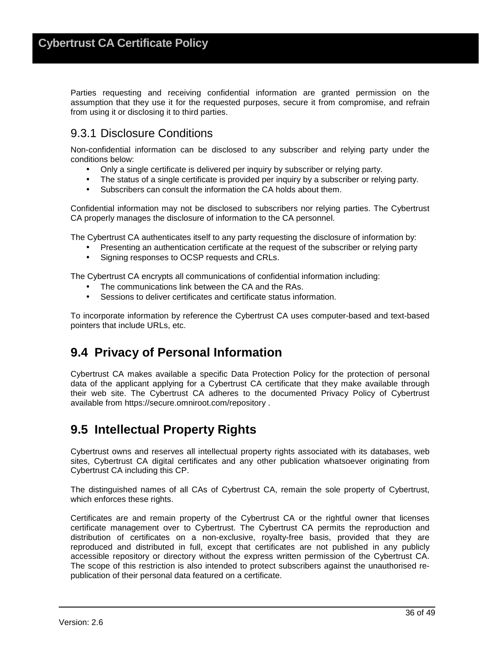Parties requesting and receiving confidential information are granted permission on the assumption that they use it for the requested purposes, secure it from compromise, and refrain from using it or disclosing it to third parties.

## 9.3.1 Disclosure Conditions

Non-confidential information can be disclosed to any subscriber and relying party under the conditions below:

- Only a single certificate is delivered per inquiry by subscriber or relying party.
- The status of a single certificate is provided per inquiry by a subscriber or relying party.
- Subscribers can consult the information the CA holds about them.

Confidential information may not be disclosed to subscribers nor relying parties. The Cybertrust CA properly manages the disclosure of information to the CA personnel.

The Cybertrust CA authenticates itself to any party requesting the disclosure of information by:

- Presenting an authentication certificate at the request of the subscriber or relying party
- Signing responses to OCSP requests and CRLs.

The Cybertrust CA encrypts all communications of confidential information including:

- The communications link between the CA and the RAs.
- Sessions to deliver certificates and certificate status information.

To incorporate information by reference the Cybertrust CA uses computer-based and text-based pointers that include URLs, etc.

## **9.4 Privacy of Personal Information**

Cybertrust CA makes available a specific Data Protection Policy for the protection of personal data of the applicant applying for a Cybertrust CA certificate that they make available through their web site. The Cybertrust CA adheres to the documented Privacy Policy of Cybertrust available from https://secure.omniroot.com/repository .

## **9.5 Intellectual Property Rights**

Cybertrust owns and reserves all intellectual property rights associated with its databases, web sites, Cybertrust CA digital certificates and any other publication whatsoever originating from Cybertrust CA including this CP.

The distinguished names of all CAs of Cybertrust CA, remain the sole property of Cybertrust, which enforces these rights.

Certificates are and remain property of the Cybertrust CA or the rightful owner that licenses certificate management over to Cybertrust. The Cybertrust CA permits the reproduction and distribution of certificates on a non-exclusive, royalty-free basis, provided that they are reproduced and distributed in full, except that certificates are not published in any publicly accessible repository or directory without the express written permission of the Cybertrust CA. The scope of this restriction is also intended to protect subscribers against the unauthorised republication of their personal data featured on a certificate.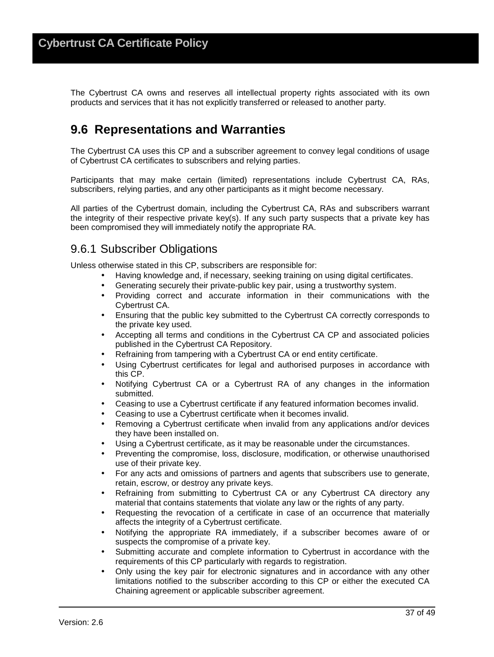The Cybertrust CA owns and reserves all intellectual property rights associated with its own products and services that it has not explicitly transferred or released to another party.

## **9.6 Representations and Warranties**

The Cybertrust CA uses this CP and a subscriber agreement to convey legal conditions of usage of Cybertrust CA certificates to subscribers and relying parties.

Participants that may make certain (limited) representations include Cybertrust CA, RAs, subscribers, relying parties, and any other participants as it might become necessary.

All parties of the Cybertrust domain, including the Cybertrust CA, RAs and subscribers warrant the integrity of their respective private key(s). If any such party suspects that a private key has been compromised they will immediately notify the appropriate RA.

#### 9.6.1 Subscriber Obligations

Unless otherwise stated in this CP, subscribers are responsible for:

- Having knowledge and, if necessary, seeking training on using digital certificates.
- Generating securely their private-public key pair, using a trustworthy system.
- Providing correct and accurate information in their communications with the Cybertrust CA.
- Ensuring that the public key submitted to the Cybertrust CA correctly corresponds to the private key used.
- Accepting all terms and conditions in the Cybertrust CA CP and associated policies published in the Cybertrust CA Repository.
- Refraining from tampering with a Cybertrust CA or end entity certificate.
- Using Cybertrust certificates for legal and authorised purposes in accordance with this CP.
- Notifying Cybertrust CA or a Cybertrust RA of any changes in the information submitted.
- Ceasing to use a Cybertrust certificate if any featured information becomes invalid.
- Ceasing to use a Cybertrust certificate when it becomes invalid.
- Removing a Cybertrust certificate when invalid from any applications and/or devices they have been installed on.
- Using a Cybertrust certificate, as it may be reasonable under the circumstances.
- Preventing the compromise, loss, disclosure, modification, or otherwise unauthorised use of their private key.
- For any acts and omissions of partners and agents that subscribers use to generate, retain, escrow, or destroy any private keys.
- Refraining from submitting to Cybertrust CA or any Cybertrust CA directory any material that contains statements that violate any law or the rights of any party.
- Requesting the revocation of a certificate in case of an occurrence that materially affects the integrity of a Cybertrust certificate.
- Notifying the appropriate RA immediately, if a subscriber becomes aware of or suspects the compromise of a private key.
- Submitting accurate and complete information to Cybertrust in accordance with the requirements of this CP particularly with regards to registration.
- Only using the key pair for electronic signatures and in accordance with any other limitations notified to the subscriber according to this CP or either the executed CA Chaining agreement or applicable subscriber agreement.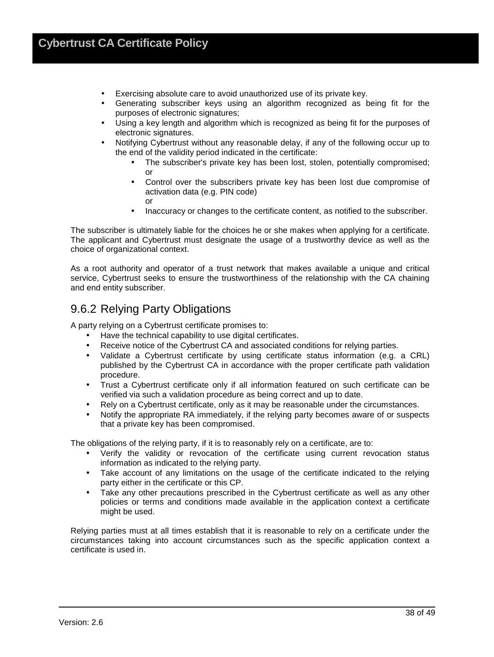- Exercising absolute care to avoid unauthorized use of its private key.
- Generating subscriber keys using an algorithm recognized as being fit for the purposes of electronic signatures;
- Using a key length and algorithm which is recognized as being fit for the purposes of electronic signatures.
- Notifying Cybertrust without any reasonable delay, if any of the following occur up to the end of the validity period indicated in the certificate:
	- The subscriber's private key has been lost, stolen, potentially compromised; or
	- Control over the subscribers private key has been lost due compromise of activation data (e.g. PIN code) or
	- Inaccuracy or changes to the certificate content, as notified to the subscriber.

The subscriber is ultimately liable for the choices he or she makes when applying for a certificate. The applicant and Cybertrust must designate the usage of a trustworthy device as well as the choice of organizational context.

As a root authority and operator of a trust network that makes available a unique and critical service, Cybertrust seeks to ensure the trustworthiness of the relationship with the CA chaining and end entity subscriber.

## 9.6.2 Relying Party Obligations

A party relying on a Cybertrust certificate promises to:

- Have the technical capability to use digital certificates.
- Receive notice of the Cybertrust CA and associated conditions for relying parties.
- Validate a Cybertrust certificate by using certificate status information (e.g. a CRL) published by the Cybertrust CA in accordance with the proper certificate path validation procedure.
- Trust a Cybertrust certificate only if all information featured on such certificate can be verified via such a validation procedure as being correct and up to date.
- Rely on a Cybertrust certificate, only as it may be reasonable under the circumstances.
- Notify the appropriate RA immediately, if the relying party becomes aware of or suspects that a private key has been compromised.

The obligations of the relying party, if it is to reasonably rely on a certificate, are to:

- Verify the validity or revocation of the certificate using current revocation status information as indicated to the relying party.
- Take account of any limitations on the usage of the certificate indicated to the relying party either in the certificate or this CP.
- Take any other precautions prescribed in the Cybertrust certificate as well as any other policies or terms and conditions made available in the application context a certificate might be used.

Relying parties must at all times establish that it is reasonable to rely on a certificate under the circumstances taking into account circumstances such as the specific application context a certificate is used in.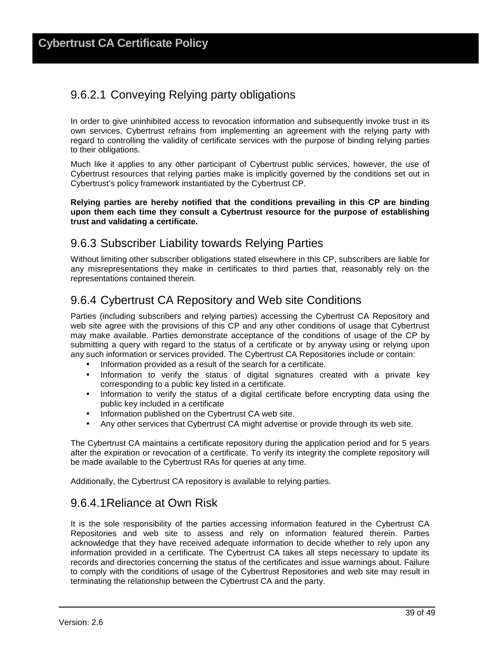## 9.6.2.1 Conveying Relying party obligations

In order to give uninhibited access to revocation information and subsequently invoke trust in its own services, Cybertrust refrains from implementing an agreement with the relying party with regard to controlling the validity of certificate services with the purpose of binding relying parties to their obligations.

Much like it applies to any other participant of Cybertrust public services, however, the use of Cybertrust resources that relying parties make is implicitly governed by the conditions set out in Cybertrust's policy framework instantiated by the Cybertrust CP.

**Relying parties are hereby notified that the conditions prevailing in this CP are binding upon them each time they consult a Cybertrust resource for the purpose of establishing trust and validating a certificate.**

## 9.6.3 Subscriber Liability towards Relying Parties

Without limiting other subscriber obligations stated elsewhere in this CP, subscribers are liable for any misrepresentations they make in certificates to third parties that, reasonably rely on the representations contained therein.

## 9.6.4 Cybertrust CA Repository and Web site Conditions

Parties (including subscribers and relying parties) accessing the Cybertrust CA Repository and web site agree with the provisions of this CP and any other conditions of usage that Cybertrust may make available. Parties demonstrate acceptance of the conditions of usage of the CP by submitting a query with regard to the status of a certificate or by anyway using or relying upon any such information or services provided. The Cybertrust CA Repositories include or contain:

- Information provided as a result of the search for a certificate.
- Information to verify the status of digital signatures created with a private key corresponding to a public key listed in a certificate.
- Information to verify the status of a digital certificate before encrypting data using the public key included in a certificate
- Information published on the Cybertrust CA web site.
- Any other services that Cybertrust CA might advertise or provide through its web site.

The Cybertrust CA maintains a certificate repository during the application period and for 5 years after the expiration or revocation of a certificate. To verify its integrity the complete repository will be made available to the Cybertrust RAs for queries at any time.

Additionally, the Cybertrust CA repository is available to relying parties.

### 9.6.4.1 Reliance at Own Risk

It is the sole responsibility of the parties accessing information featured in the Cybertrust CA Repositories and web site to assess and rely on information featured therein. Parties acknowledge that they have received adequate information to decide whether to rely upon any information provided in a certificate. The Cybertrust CA takes all steps necessary to update its records and directories concerning the status of the certificates and issue warnings about. Failure to comply with the conditions of usage of the Cybertrust Repositories and web site may result in terminating the relationship between the Cybertrust CA and the party.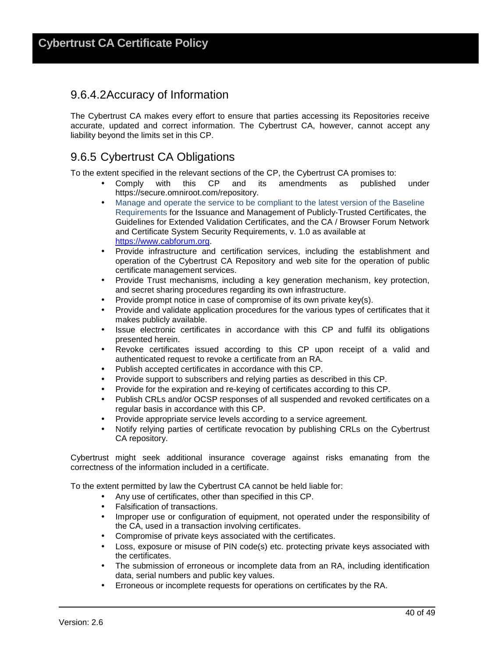### 9.6.4.2 Accuracy of Information

The Cybertrust CA makes every effort to ensure that parties accessing its Repositories receive accurate, updated and correct information. The Cybertrust CA, however, cannot accept any liability beyond the limits set in this CP.

## 9.6.5 Cybertrust CA Obligations

To the extent specified in the relevant sections of the CP, the Cybertrust CA promises to:

- Comply with this CP and its amendments as published under https://secure.omniroot.com/repository.
- Manage and operate the service to be compliant to the latest version of the Baseline Requirements for the Issuance and Management of Publicly‐Trusted Certificates, the Guidelines for Extended Validation Certificates, and the CA / Browser Forum Network and Certificate System Security Requirements, v. 1.0 as available at https://www.cabforum.org.
- Provide infrastructure and certification services, including the establishment and operation of the Cybertrust CA Repository and web site for the operation of public certificate management services.
- Provide Trust mechanisms, including a key generation mechanism, key protection, and secret sharing procedures regarding its own infrastructure.
- Provide prompt notice in case of compromise of its own private key(s).
- Provide and validate application procedures for the various types of certificates that it makes publicly available.
- Issue electronic certificates in accordance with this CP and fulfil its obligations presented herein.
- Revoke certificates issued according to this CP upon receipt of a valid and authenticated request to revoke a certificate from an RA.
- Publish accepted certificates in accordance with this CP.
- Provide support to subscribers and relying parties as described in this CP.
- Provide for the expiration and re-keying of certificates according to this CP.
- Publish CRLs and/or OCSP responses of all suspended and revoked certificates on a regular basis in accordance with this CP.
- Provide appropriate service levels according to a service agreement.
- Notify relying parties of certificate revocation by publishing CRLs on the Cybertrust CA repository.

Cybertrust might seek additional insurance coverage against risks emanating from the correctness of the information included in a certificate.

To the extent permitted by law the Cybertrust CA cannot be held liable for:

- Any use of certificates, other than specified in this CP.
- Falsification of transactions.
- Improper use or configuration of equipment, not operated under the responsibility of the CA, used in a transaction involving certificates.
- Compromise of private keys associated with the certificates.
- Loss, exposure or misuse of PIN code(s) etc. protecting private keys associated with the certificates.
- The submission of erroneous or incomplete data from an RA, including identification data, serial numbers and public key values.
- Erroneous or incomplete requests for operations on certificates by the RA.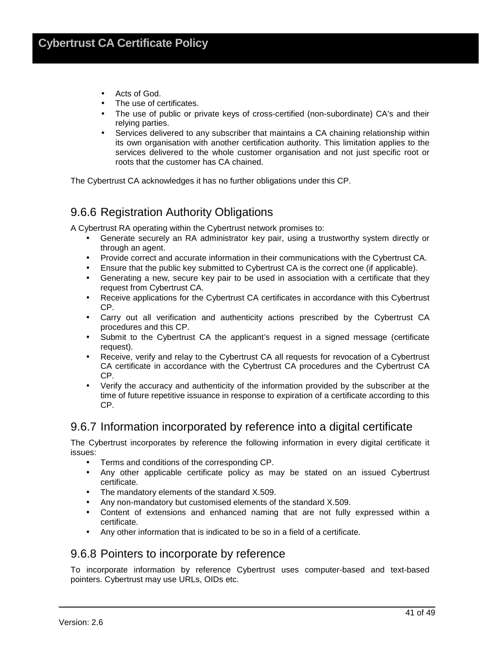- Acts of God.
- The use of certificates.
- The use of public or private keys of cross-certified (non-subordinate) CA's and their relying parties.
- Services delivered to any subscriber that maintains a CA chaining relationship within its own organisation with another certification authority. This limitation applies to the services delivered to the whole customer organisation and not just specific root or roots that the customer has CA chained.

The Cybertrust CA acknowledges it has no further obligations under this CP.

### 9.6.6 Registration Authority Obligations

A Cybertrust RA operating within the Cybertrust network promises to:

- Generate securely an RA administrator key pair, using a trustworthy system directly or through an agent.
- Provide correct and accurate information in their communications with the Cybertrust CA.
- Ensure that the public key submitted to Cybertrust CA is the correct one (if applicable).
- Generating a new, secure key pair to be used in association with a certificate that they request from Cybertrust CA.
- Receive applications for the Cybertrust CA certificates in accordance with this Cybertrust CP.
- Carry out all verification and authenticity actions prescribed by the Cybertrust CA procedures and this CP.
- Submit to the Cybertrust CA the applicant's request in a signed message (certificate request).
- Receive, verify and relay to the Cybertrust CA all requests for revocation of a Cybertrust CA certificate in accordance with the Cybertrust CA procedures and the Cybertrust CA CP.
- Verify the accuracy and authenticity of the information provided by the subscriber at the time of future repetitive issuance in response to expiration of a certificate according to this CP.

### 9.6.7 Information incorporated by reference into a digital certificate

The Cybertrust incorporates by reference the following information in every digital certificate it issues:

- Terms and conditions of the corresponding CP.
- Any other applicable certificate policy as may be stated on an issued Cybertrust certificate.
- The mandatory elements of the standard X.509.
- Any non-mandatory but customised elements of the standard X.509.
- Content of extensions and enhanced naming that are not fully expressed within a certificate.
- Any other information that is indicated to be so in a field of a certificate.

#### 9.6.8 Pointers to incorporate by reference

To incorporate information by reference Cybertrust uses computer-based and text-based pointers. Cybertrust may use URLs, OIDs etc.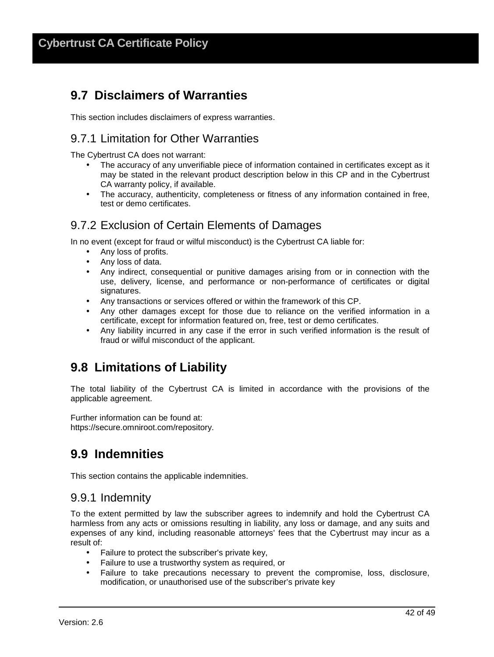## **9.7 Disclaimers of Warranties**

This section includes disclaimers of express warranties.

## 9.7.1 Limitation for Other Warranties

The Cybertrust CA does not warrant:

- The accuracy of any unverifiable piece of information contained in certificates except as it may be stated in the relevant product description below in this CP and in the Cybertrust CA warranty policy, if available.
- The accuracy, authenticity, completeness or fitness of any information contained in free, test or demo certificates.

## 9.7.2 Exclusion of Certain Elements of Damages

In no event (except for fraud or wilful misconduct) is the Cybertrust CA liable for:

- Any loss of profits.
- Any loss of data.
- Any indirect, consequential or punitive damages arising from or in connection with the use, delivery, license, and performance or non-performance of certificates or digital signatures.
- Any transactions or services offered or within the framework of this CP.
- Any other damages except for those due to reliance on the verified information in a certificate, except for information featured on, free, test or demo certificates.
- Any liability incurred in any case if the error in such verified information is the result of fraud or wilful misconduct of the applicant.

## **9.8 Limitations of Liability**

The total liability of the Cybertrust CA is limited in accordance with the provisions of the applicable agreement.

Further information can be found at: https://secure.omniroot.com/repository.

## **9.9 Indemnities**

This section contains the applicable indemnities.

### 9.9.1 Indemnity

To the extent permitted by law the subscriber agrees to indemnify and hold the Cybertrust CA harmless from any acts or omissions resulting in liability, any loss or damage, and any suits and expenses of any kind, including reasonable attorneys' fees that the Cybertrust may incur as a result of:

- Failure to protect the subscriber's private key,
- Failure to use a trustworthy system as required, or
- Failure to take precautions necessary to prevent the compromise, loss, disclosure, modification, or unauthorised use of the subscriber's private key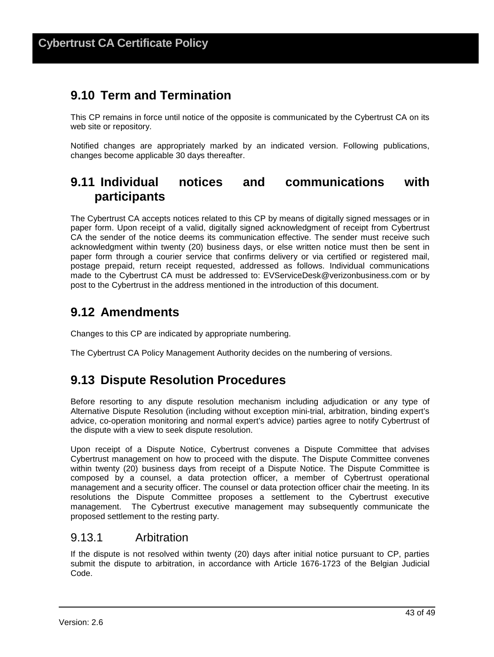## **9.10 Term and Termination**

This CP remains in force until notice of the opposite is communicated by the Cybertrust CA on its web site or repository.

Notified changes are appropriately marked by an indicated version. Following publications, changes become applicable 30 days thereafter.

## **9.11 Individual notices and communications with participants**

The Cybertrust CA accepts notices related to this CP by means of digitally signed messages or in paper form. Upon receipt of a valid, digitally signed acknowledgment of receipt from Cybertrust CA the sender of the notice deems its communication effective. The sender must receive such acknowledgment within twenty (20) business days, or else written notice must then be sent in paper form through a courier service that confirms delivery or via certified or registered mail, postage prepaid, return receipt requested, addressed as follows. Individual communications made to the Cybertrust CA must be addressed to: EVServiceDesk@verizonbusiness.com or by post to the Cybertrust in the address mentioned in the introduction of this document.

## **9.12 Amendments**

Changes to this CP are indicated by appropriate numbering.

The Cybertrust CA Policy Management Authority decides on the numbering of versions.

## **9.13 Dispute Resolution Procedures**

Before resorting to any dispute resolution mechanism including adjudication or any type of Alternative Dispute Resolution (including without exception mini-trial, arbitration, binding expert's advice, co-operation monitoring and normal expert's advice) parties agree to notify Cybertrust of the dispute with a view to seek dispute resolution.

Upon receipt of a Dispute Notice, Cybertrust convenes a Dispute Committee that advises Cybertrust management on how to proceed with the dispute. The Dispute Committee convenes within twenty (20) business days from receipt of a Dispute Notice. The Dispute Committee is composed by a counsel, a data protection officer, a member of Cybertrust operational management and a security officer. The counsel or data protection officer chair the meeting. In its resolutions the Dispute Committee proposes a settlement to the Cybertrust executive management. The Cybertrust executive management may subsequently communicate the proposed settlement to the resting party.

#### 9.13.1 Arbitration

If the dispute is not resolved within twenty (20) days after initial notice pursuant to CP, parties submit the dispute to arbitration, in accordance with Article 1676-1723 of the Belgian Judicial Code.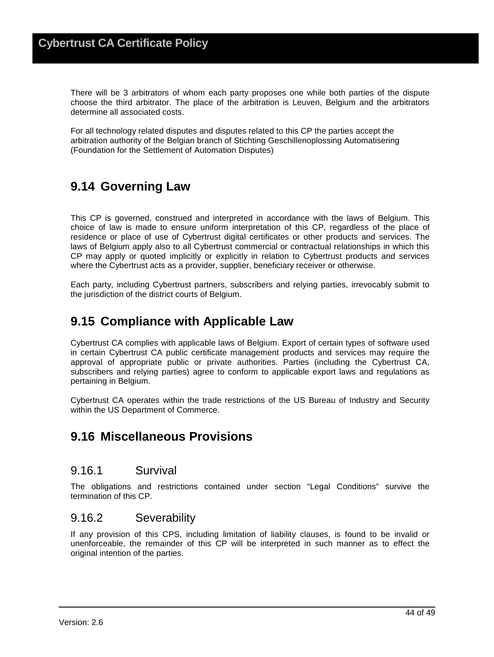There will be 3 arbitrators of whom each party proposes one while both parties of the dispute choose the third arbitrator. The place of the arbitration is Leuven, Belgium and the arbitrators determine all associated costs.

For all technology related disputes and disputes related to this CP the parties accept the arbitration authority of the Belgian branch of Stichting Geschillenoplossing Automatisering (Foundation for the Settlement of Automation Disputes)

## **9.14 Governing Law**

This CP is governed, construed and interpreted in accordance with the laws of Belgium. This choice of law is made to ensure uniform interpretation of this CP, regardless of the place of residence or place of use of Cybertrust digital certificates or other products and services. The laws of Belgium apply also to all Cybertrust commercial or contractual relationships in which this CP may apply or quoted implicitly or explicitly in relation to Cybertrust products and services where the Cybertrust acts as a provider, supplier, beneficiary receiver or otherwise.

Each party, including Cybertrust partners, subscribers and relying parties, irrevocably submit to the jurisdiction of the district courts of Belgium.

## **9.15 Compliance with Applicable Law**

Cybertrust CA complies with applicable laws of Belgium. Export of certain types of software used in certain Cybertrust CA public certificate management products and services may require the approval of appropriate public or private authorities. Parties (including the Cybertrust CA, subscribers and relying parties) agree to conform to applicable export laws and regulations as pertaining in Belgium.

Cybertrust CA operates within the trade restrictions of the US Bureau of Industry and Security within the US Department of Commerce.

## **9.16 Miscellaneous Provisions**

#### 9.16.1 Survival

The obligations and restrictions contained under section "Legal Conditions" survive the termination of this CP.

#### 9.16.2 Severability

If any provision of this CPS, including limitation of liability clauses, is found to be invalid or unenforceable, the remainder of this CP will be interpreted in such manner as to effect the original intention of the parties.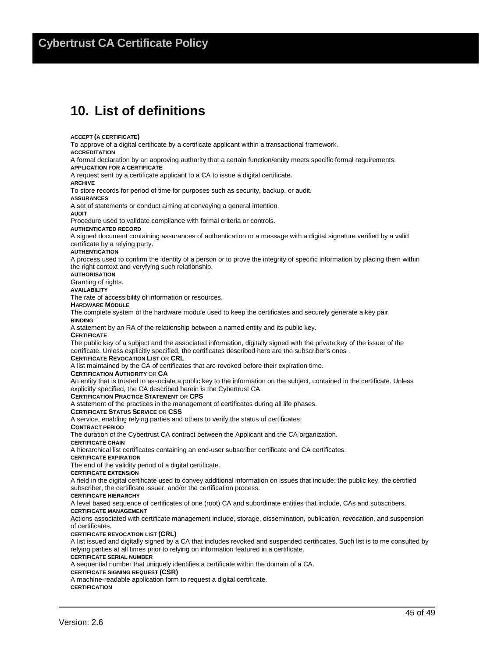## **Cybertrust CA Certificate Policy**

## **10. List of definitions**

**ACCEPT (A CERTIFICATE)** To approve of a digital certificate by a certificate applicant within a transactional framework. **ACCREDITATION** A formal declaration by an approving authority that a certain function/entity meets specific formal requirements. **APPLICATION FOR A CERTIFICATE** A request sent by a certificate applicant to a CA to issue a digital certificate. **ARCHIVE** To store records for period of time for purposes such as security, backup, or audit. **ASSURANCES** A set of statements or conduct aiming at conveying a general intention. **AUDIT** Procedure used to validate compliance with formal criteria or controls. **AUTHENTICATED RECORD** A signed document containing assurances of authentication or a message with a digital signature verified by a valid certificate by a relying party. **AUTHENTICATION** A process used to confirm the identity of a person or to prove the integrity of specific information by placing them within the right context and veryfying such relationship. **AUTHORISATION** Granting of rights. **AVAILABILITY** The rate of accessibility of information or resources. **HARDWARE MODULE** The complete system of the hardware module used to keep the certificates and securely generate a key pair. **BINDING** A statement by an RA of the relationship between a named entity and its public key. **CERTIFICATE** The public key of a subject and the associated information, digitally signed with the private key of the issuer of the certificate. Unless explicitly specified, the certificates described here are the subscriber's ones . **CERTIFICATE REVOCATION LIST** OR **CRL** A list maintained by the CA of certificates that are revoked before their expiration time. **CERTIFICATION AUTHORITY** OR **CA** An entity that is trusted to associate a public key to the information on the subject, contained in the certificate. Unless explicitly specified, the CA described herein is the Cybertrust CA. **CERTIFICATION PRACTICE STATEMENT** OR **CPS** A statement of the practices in the management of certificates during all life phases. **CERTIFICATE STATUS SERVICE** OR **CSS** A service, enabling relying parties and others to verify the status of certificates. **CONTRACT PERIOD** The duration of the Cybertrust CA contract between the Applicant and the CA organization. **CERTIFICATE CHAIN** A hierarchical list certificates containing an end-user subscriber certificate and CA certificates. **CERTIFICATE EXPIRATION** The end of the validity period of a digital certificate. **CERTIFICATE EXTENSION** A field in the digital certificate used to convey additional information on issues that include: the public key, the certified subscriber, the certificate issuer, and/or the certification process. **CERTIFICATE HIERARCHY**

A level based sequence of certificates of one (root) CA and subordinate entities that include, CAs and subscribers.

#### **CERTIFICATE MANAGEMENT**

Actions associated with certificate management include, storage, dissemination, publication, revocation, and suspension of certificates.

**CERTIFICATE REVOCATION LIST (CRL)**

A list issued and digitally signed by a CA that includes revoked and suspended certificates. Such list is to me consulted by relying parties at all times prior to relying on information featured in a certificate.

**CERTIFICATE SERIAL NUMBER**

A sequential number that uniquely identifies a certificate within the domain of a CA.

#### **CERTIFICATE SIGNING REQUEST (CSR)**

A machine-readable application form to request a digital certificate.

**CERTIFICATION**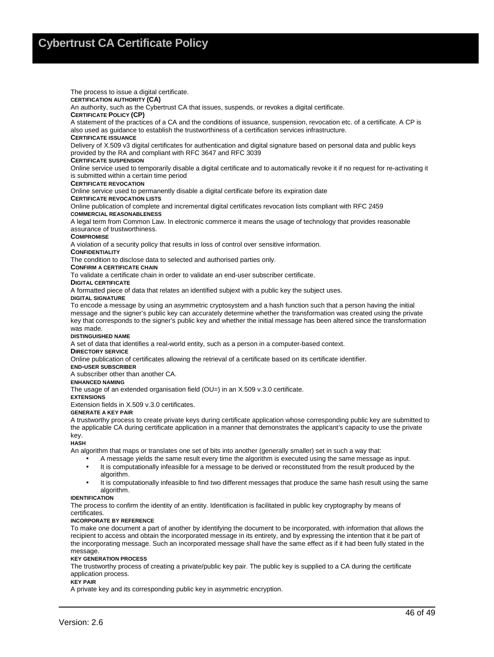The process to issue a digital certificate. **CERTIFICATION AUTHORITY (CA)**  An authority, such as the Cybertrust CA that issues, suspends, or revokes a digital certificate. **CERTIFICATE POLICY (CP)**  A statement of the practices of a CA and the conditions of issuance, suspension, revocation etc. of a certificate. A CP is also used as guidance to establish the trustworthiness of a certification services infrastructure. **CERTIFICATE ISSUANCE** Delivery of X.509 v3 digital certificates for authentication and digital signature based on personal data and public keys provided by the RA and compliant with RFC 3647 and RFC 3039 **CERTIFICATE SUSPENSION**  Online service used to temporarily disable a digital certificate and to automatically revoke it if no request for re-activating it is submitted within a certain time period **CERTIFICATE REVOCATION**  Online service used to permanently disable a digital certificate before its expiration date **CERTIFICATE REVOCATION LISTS** Online publication of complete and incremental digital certificates revocation lists compliant with RFC 2459 **COMMERCIAL REASONABLENESS** A legal term from Common Law. In electronic commerce it means the usage of technology that provides reasonable assurance of trustworthiness. **COMPROMISE** A violation of a security policy that results in loss of control over sensitive information. **CONFIDENTIALITY** The condition to disclose data to selected and authorised parties only. **CONFIRM A CERTIFICATE CHAIN** To validate a certificate chain in order to validate an end-user subscriber certificate. **DIGITAL CERTIFICATE**  A formatted piece of data that relates an identified subjext with a public key the subject uses. **DIGITAL SIGNATURE** To encode a message by using an asymmetric cryptosystem and a hash function such that a person having the initial message and the signer's public key can accurately determine whether the transformation was created using the private

key that corresponds to the signer's public key and whether the initial message has been altered since the transformation was made.

#### **DISTINGUISHED NAME**

A set of data that identifies a real-world entity, such as a person in a computer-based context.

#### **DIRECTORY SERVICE**

Online publication of certificates allowing the retrieval of a certificate based on its certificate identifier.

#### **END-USER SUBSCRIBER**

A subscriber other than another CA.

#### **ENHANCED NAMING**

The usage of an extended organisation field (OU=) in an X.509 v.3.0 certificate.

**EXTENSIONS**

Extension fields in X.509 v.3.0 certificates.

#### **GENERATE A KEY PAIR**

A trustworthy process to create private keys during certificate application whose corresponding public key are submitted to the applicable CA during certificate application in a manner that demonstrates the applicant's capacity to use the private key.

#### **HASH**

An algorithm that maps or translates one set of bits into another (generally smaller) set in such a way that:

- A message yields the same result every time the algorithm is executed using the same message as input.
- It is computationally infeasible for a message to be derived or reconstituted from the result produced by the algorithm.
- It is computationally infeasible to find two different messages that produce the same hash result using the same algorithm.

#### **IDENTIFICATION**

The process to confirm the identity of an entity. Identification is facilitated in public key cryptography by means of certificates.

#### **INCORPORATE BY REFERENCE**

To make one document a part of another by identifying the document to be incorporated, with information that allows the recipient to access and obtain the incorporated message in its entirety, and by expressing the intention that it be part of the incorporating message. Such an incorporated message shall have the same effect as if it had been fully stated in the message.

#### **KEY GENERATION PROCESS**

The trustworthy process of creating a private/public key pair. The public key is supplied to a CA during the certificate application process.

#### **KEY PAIR**

A private key and its corresponding public key in asymmetric encryption.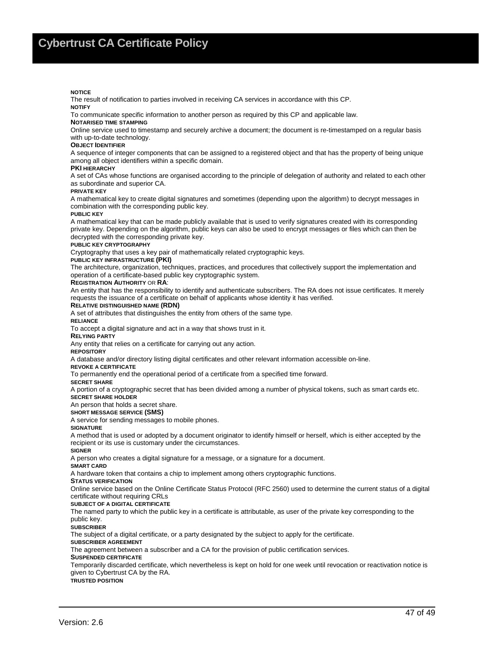#### **NOTICE**

The result of notification to parties involved in receiving CA services in accordance with this CP.

#### **NOTIFY**

To communicate specific information to another person as required by this CP and applicable law.

#### **NOTARISED TIME STAMPING**

Online service used to timestamp and securely archive a document; the document is re-timestamped on a regular basis with up-to-date technology.

#### **OBJECT IDENTIFIER**

A sequence of integer components that can be assigned to a registered object and that has the property of being unique among all object identifiers within a specific domain.

#### **PKI HIERARCHY**

A set of CAs whose functions are organised according to the principle of delegation of authority and related to each other as subordinate and superior CA.

#### **PRIVATE KEY**

A mathematical key to create digital signatures and sometimes (depending upon the algorithm) to decrypt messages in combination with the corresponding public key.

#### **PUBLIC KEY**

A mathematical key that can be made publicly available that is used to verify signatures created with its corresponding private key. Depending on the algorithm, public keys can also be used to encrypt messages or files which can then be decrypted with the corresponding private key.

#### **PUBLIC KEY CRYPTOGRAPHY**

Cryptography that uses a key pair of mathematically related cryptographic keys.

#### **PUBLIC KEY INFRASTRUCTURE (PKI)**

The architecture, organization, techniques, practices, and procedures that collectively support the implementation and operation of a certificate-based public key cryptographic system.

#### **REGISTRATION AUTHORITY** OR **RA**:

An entity that has the responsibility to identify and authenticate subscribers. The RA does not issue certificates. It merely requests the issuance of a certificate on behalf of applicants whose identity it has verified.

#### **RELATIVE DISTINGUISHED NAME (RDN)**

A set of attributes that distinguishes the entity from others of the same type.

**RELIANCE** 

To accept a digital signature and act in a way that shows trust in it.

**RELYING PARTY**

Any entity that relies on a certificate for carrying out any action.

**REPOSITORY**

A database and/or directory listing digital certificates and other relevant information accessible on-line.

#### **REVOKE A CERTIFICATE**

To permanently end the operational period of a certificate from a specified time forward.

**SECRET SHARE**

A portion of a cryptographic secret that has been divided among a number of physical tokens, such as smart cards etc. **SECRET SHARE HOLDER**

An person that holds a secret share.

#### **SHORT MESSAGE SERVICE (SMS)**

A service for sending messages to mobile phones.

#### **SIGNATURE**

A method that is used or adopted by a document originator to identify himself or herself, which is either accepted by the recipient or its use is customary under the circumstances.

#### **SIGNER**

A person who creates a digital signature for a message, or a signature for a document.

#### **SMART CARD**

A hardware token that contains a chip to implement among others cryptographic functions.

#### **STATUS VERIFICATION**

Online service based on the Online Certificate Status Protocol (RFC 2560) used to determine the current status of a digital certificate without requiring CRLs

#### **SUBJECT OF A DIGITAL CERTIFICATE**

The named party to which the public key in a certificate is attributable, as user of the private key corresponding to the public key.

**SUBSCRIBER**

The subject of a digital certificate, or a party designated by the subject to apply for the certificate.

#### **SUBSCRIBER AGREEMENT**

The agreement between a subscriber and a CA for the provision of public certification services.

#### **SUSPENDED CERTIFICATE**

Temporarily discarded certificate, which nevertheless is kept on hold for one week until revocation or reactivation notice is given to Cybertrust CA by the RA.

**TRUSTED POSITION**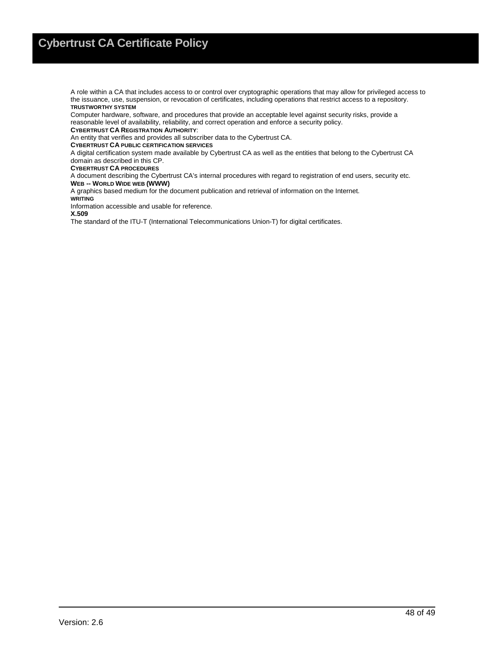A role within a CA that includes access to or control over cryptographic operations that may allow for privileged access to the issuance, use, suspension, or revocation of certificates, including operations that restrict access to a repository. **TRUSTWORTHY SYSTEM**

Computer hardware, software, and procedures that provide an acceptable level against security risks, provide a reasonable level of availability, reliability, and correct operation and enforce a security policy.

**CYBERTRUST CA REGISTRATION AUTHORITY**:

An entity that verifies and provides all subscriber data to the Cybertrust CA.

**CYBERTRUST CA PUBLIC CERTIFICATION SERVICES**

A digital certification system made available by Cybertrust CA as well as the entities that belong to the Cybertrust CA domain as described in this CP.

**CYBERTRUST CA PROCEDURES** 

A document describing the Cybertrust CA's internal procedures with regard to registration of end users, security etc. **WEB -- WORLD WIDE WEB (WWW)**

A graphics based medium for the document publication and retrieval of information on the Internet.

**WRITING**

Information accessible and usable for reference.

**X.509**

The standard of the ITU-T (International Telecommunications Union-T) for digital certificates.